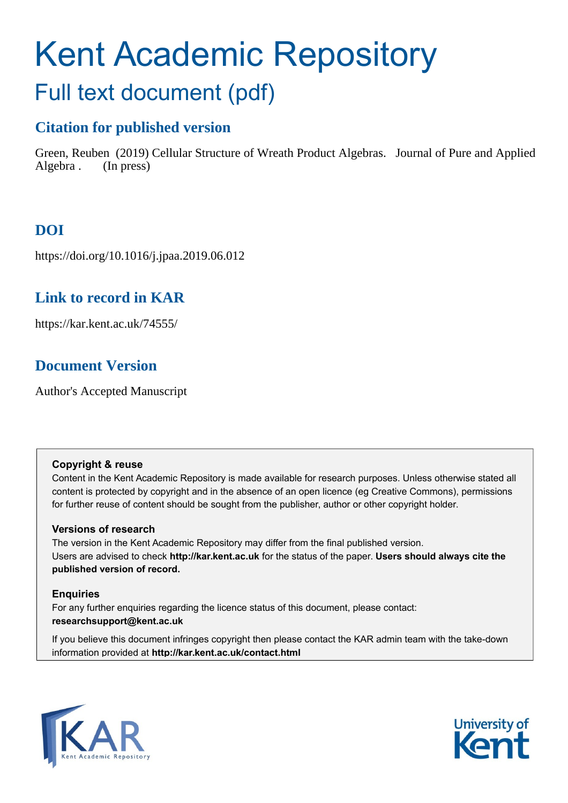# Kent Academic Repository Full text document (pdf)

# **Citation for published version**

Green, Reuben (2019) Cellular Structure of Wreath Product Algebras. Journal of Pure and Applied Algebra . (In press)

# **DOI**

https://doi.org/10.1016/j.jpaa.2019.06.012

## **Link to record in KAR**

https://kar.kent.ac.uk/74555/

# **Document Version**

Author's Accepted Manuscript

## **Copyright & reuse**

Content in the Kent Academic Repository is made available for research purposes. Unless otherwise stated all content is protected by copyright and in the absence of an open licence (eg Creative Commons), permissions for further reuse of content should be sought from the publisher, author or other copyright holder.

## **Versions of research**

The version in the Kent Academic Repository may differ from the final published version. Users are advised to check **http://kar.kent.ac.uk** for the status of the paper. **Users should always cite the published version of record.**

## **Enquiries**

For any further enquiries regarding the licence status of this document, please contact: **researchsupport@kent.ac.uk**

If you believe this document infringes copyright then please contact the KAR admin team with the take-down information provided at **http://kar.kent.ac.uk/contact.html**



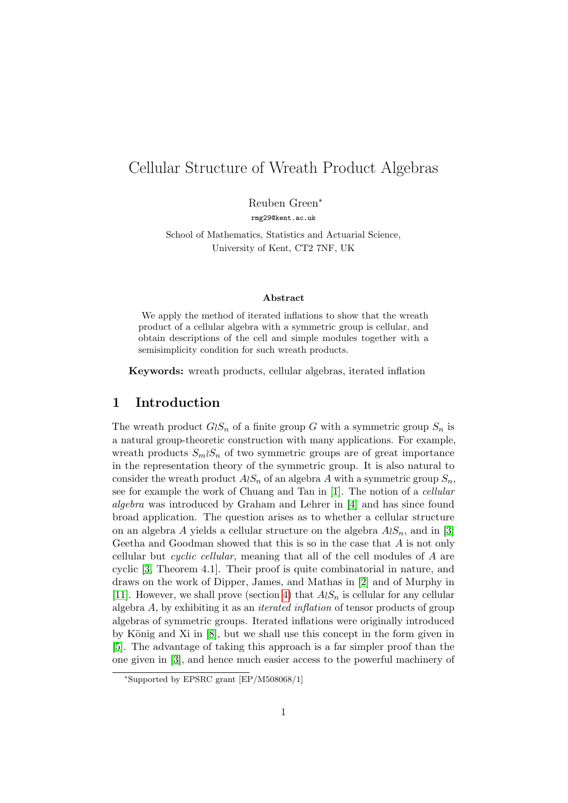## Cellular Structure of Wreath Product Algebras

Reuben Green<sup>∗</sup>

rmg29@kent.ac.uk

School of Mathematics, Statistics and Actuarial Science, University of Kent, CT2 7NF, UK

#### Abstract

We apply the method of iterated inflations to show that the wreath product of a cellular algebra with a symmetric group is cellular, and obtain descriptions of the cell and simple modules together with a semisimplicity condition for such wreath products.

Keywords: wreath products, cellular algebras, iterated inflation

#### 1 Introduction

The wreath product  $G\wr S_n$  of a finite group G with a symmetric group  $S_n$  is a natural group-theoretic construction with many applications. For example, wreath products  $S_m \wr S_n$  of two symmetric groups are of great importance in the representation theory of the symmetric group. It is also natural to consider the wreath product  $A\wr S_n$  of an algebra A with a symmetric group  $S_n$ , see for example the work of Chuang and Tan in [1]. The notion of a cellular algebra was introduced by Graham and Lehrer in [4] and has since found broad application. The question arises as to whether a cellular structure on an algebra A yields a cellular structure on the algebra  $A\wr S_n$ , and in [3] Geetha and Goodman showed that this is so in the case that A is not only cellular but cyclic cellular, meaning that all of the cell modules of A are cyclic [3, Theorem 4.1]. Their proof is quite combinatorial in nature, and draws on the work of Dipper, James, and Mathas in [2] and of Murphy in [11]. However, we shall prove (section 4) that  $A\wr S_n$  is cellular for any cellular algebra A, by exhibiting it as an iterated inflation of tensor products of group algebras of symmetric groups. Iterated inflations were originally introduced by König and Xi in  $[8]$ , but we shall use this concept in the form given in [5]. The advantage of taking this approach is a far simpler proof than the one given in [3], and hence much easier access to the powerful machinery of

<sup>∗</sup>Supported by EPSRC grant [EP/M508068/1]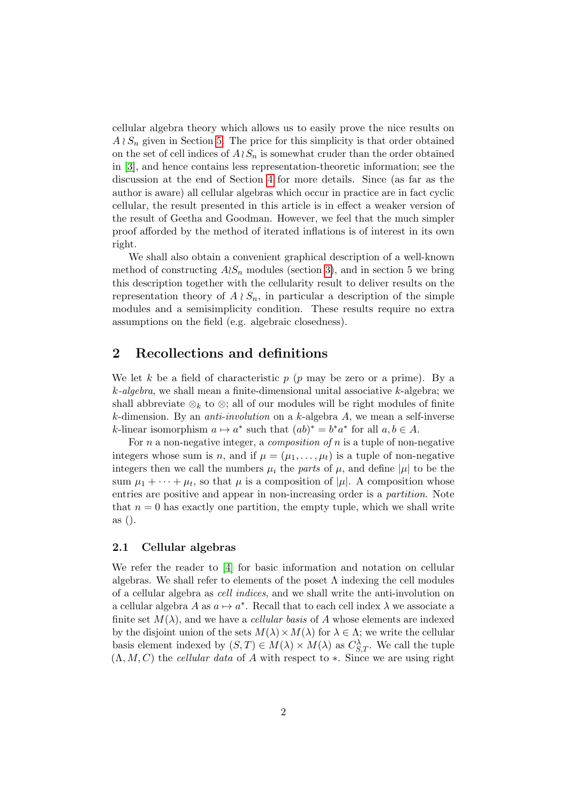cellular algebra theory which allows us to easily prove the nice results on  $A \wr S_n$  given in Section 5. The price for this simplicity is that order obtained on the set of cell indices of  $A\wr S_n$  is somewhat cruder than the order obtained in [3], and hence contains less representation-theoretic information; see the discussion at the end of Section 4 for more details. Since (as far as the author is aware) all cellular algebras which occur in practice are in fact cyclic cellular, the result presented in this article is in effect a weaker version of the result of Geetha and Goodman. However, we feel that the much simpler proof afforded by the method of iterated inflations is of interest in its own right.

We shall also obtain a convenient graphical description of a well-known method of constructing  $A\&S_n$  modules (section 3), and in section 5 we bring this description together with the cellularity result to deliver results on the representation theory of  $A \wr S_n$ , in particular a description of the simple modules and a semisimplicity condition. These results require no extra assumptions on the field (e.g. algebraic closedness).

#### 2 Recollections and definitions

We let k be a field of characteristic  $p$  ( $p$  may be zero or a prime). By a  $k$ -algebra, we shall mean a finite-dimensional unital associative  $k$ -algebra; we shall abbreviate  $\otimes_k$  to  $\otimes$ ; all of our modules will be right modules of finite k-dimension. By an *anti-involution* on a k-algebra  $A$ , we mean a self-inverse k-linear isomorphism  $a \mapsto a^*$  such that  $(ab)^* = b^*a^*$  for all  $a, b \in A$ .

For n a non-negative integer, a *composition of*  $n$  is a tuple of non-negative integers whose sum is n, and if  $\mu = (\mu_1, \dots, \mu_t)$  is a tuple of non-negative integers then we call the numbers  $\mu_i$  the parts of  $\mu$ , and define  $|\mu|$  to be the sum  $\mu_1 + \cdots + \mu_t$ , so that  $\mu$  is a composition of  $|\mu|$ . A composition whose entries are positive and appear in non-increasing order is a partition. Note that  $n = 0$  has exactly one partition, the empty tuple, which we shall write as ().

#### 2.1 Cellular algebras

We refer the reader to [4] for basic information and notation on cellular algebras. We shall refer to elements of the poset  $\Lambda$  indexing the cell modules of a cellular algebra as cell indices, and we shall write the anti-involution on a cellular algebra  $A$  as  $a \mapsto a^*$ . Recall that to each cell index  $\lambda$  we associate a finite set  $M(\lambda)$ , and we have a *cellular basis* of A whose elements are indexed by the disjoint union of the sets  $M(\lambda) \times M(\lambda)$  for  $\lambda \in \Lambda$ ; we write the cellular basis element indexed by  $(S,T) \in M(\lambda) \times M(\lambda)$  as  $C_{S,T}^{\lambda}$ . We call the tuple  $(\Lambda, M, C)$  the cellular data of A with respect to  $\ast$ . Since we are using right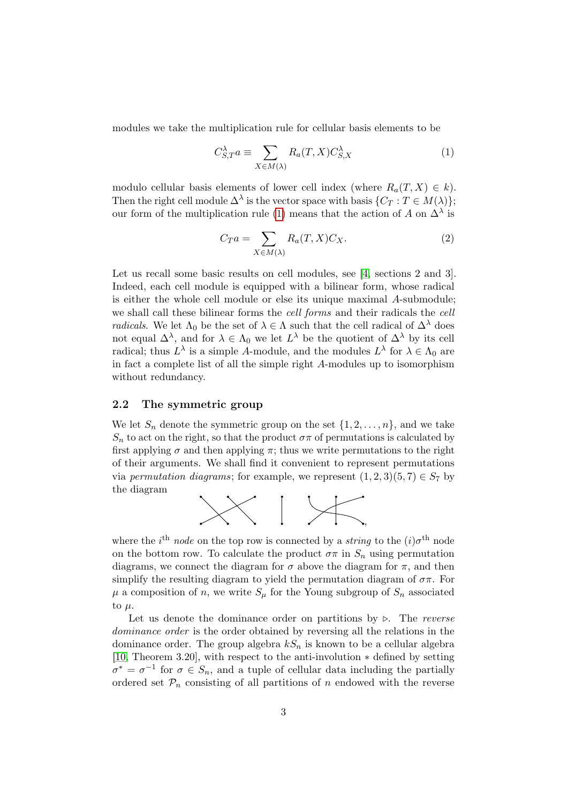modules we take the multiplication rule for cellular basis elements to be

$$
C_{S,T}^{\lambda} a \equiv \sum_{X \in M(\lambda)} R_a(T, X) C_{S,X}^{\lambda}
$$
 (1)

modulo cellular basis elements of lower cell index (where  $R_a(T, X) \in k$ ). Then the right cell module  $\Delta^{\lambda}$  is the vector space with basis  $\{C_T : T \in M(\lambda)\};$ our form of the multiplication rule (1) means that the action of A on  $\Delta^{\lambda}$  is

$$
C_T a = \sum_{X \in M(\lambda)} R_a(T, X) C_X. \tag{2}
$$

Let us recall some basic results on cell modules, see [4, sections 2 and 3]. Indeed, each cell module is equipped with a bilinear form, whose radical is either the whole cell module or else its unique maximal A-submodule; we shall call these bilinear forms the cell forms and their radicals the cell *radicals*. We let  $\Lambda_0$  be the set of  $\lambda \in \Lambda$  such that the cell radical of  $\Delta^{\lambda}$  does not equal  $\Delta^{\lambda}$ , and for  $\lambda \in \Lambda_0$  we let  $L^{\lambda}$  be the quotient of  $\Delta^{\lambda}$  by its cell radical; thus  $L^{\lambda}$  is a simple A-module, and the modules  $L^{\lambda}$  for  $\lambda \in \Lambda_0$  are in fact a complete list of all the simple right A-modules up to isomorphism without redundancy.

#### 2.2 The symmetric group

We let  $S_n$  denote the symmetric group on the set  $\{1, 2, \ldots, n\}$ , and we take  $S_n$  to act on the right, so that the product  $\sigma\pi$  of permutations is calculated by first applying  $\sigma$  and then applying  $\pi$ ; thus we write permutations to the right of their arguments. We shall find it convenient to represent permutations via permutation diagrams; for example, we represent  $(1, 2, 3)(5, 7) \in S_7$  by the diagram



where the *i*<sup>th</sup> node on the top row is connected by a *string* to the  $(i)\sigma$ <sup>th</sup> node on the bottom row. To calculate the product  $\sigma \pi$  in  $S_n$  using permutation diagrams, we connect the diagram for  $\sigma$  above the diagram for  $\pi$ , and then simplify the resulting diagram to yield the permutation diagram of  $\sigma \pi$ . For  $\mu$  a composition of n, we write  $S_{\mu}$  for the Young subgroup of  $S_n$  associated to  $\mu$ .

Let us denote the dominance order on partitions by  $\triangleright$ . The reverse dominance order is the order obtained by reversing all the relations in the dominance order. The group algebra  $kS_n$  is known to be a cellular algebra [10, Theorem 3.20], with respect to the anti-involution ∗ defined by setting  $\sigma^* = \sigma^{-1}$  for  $\sigma \in S_n$ , and a tuple of cellular data including the partially ordered set  $\mathcal{P}_n$  consisting of all partitions of n endowed with the reverse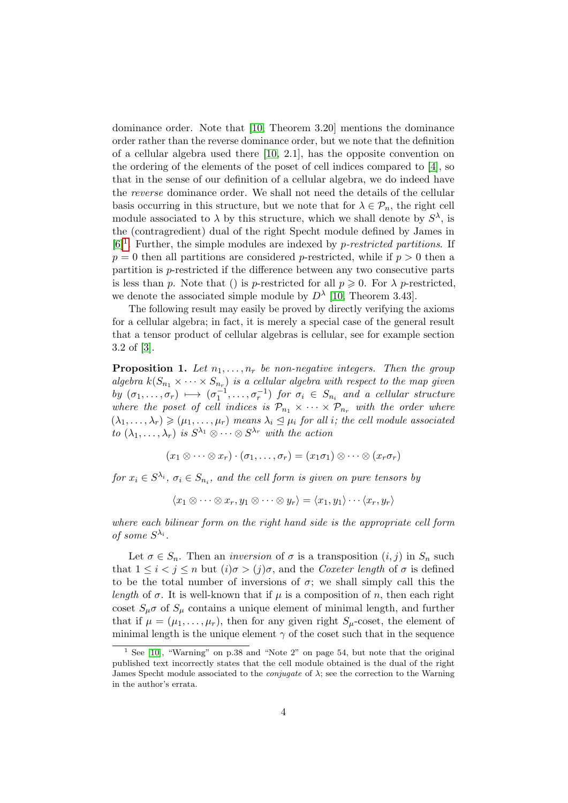dominance order. Note that [10, Theorem 3.20] mentions the dominance order rather than the reverse dominance order, but we note that the definition of a cellular algebra used there [10, 2.1], has the opposite convention on the ordering of the elements of the poset of cell indices compared to [4], so that in the sense of our definition of a cellular algebra, we do indeed have the reverse dominance order. We shall not need the details of the cellular basis occurring in this structure, but we note that for  $\lambda \in \mathcal{P}_n$ , the right cell module associated to  $\lambda$  by this structure, which we shall denote by  $S^{\lambda}$ , is the (contragredient) dual of the right Specht module defined by James in  $[6]$ <sup>1</sup>. Further, the simple modules are indexed by *p-restricted partitions*. If  $p = 0$  then all partitions are considered p-restricted, while if  $p > 0$  then a partition is p-restricted if the difference between any two consecutive parts is less than p. Note that () is p-restricted for all  $p \geq 0$ . For  $\lambda$  p-restricted, we denote the associated simple module by  $D^{\lambda}$  [10, Theorem 3.43].

The following result may easily be proved by directly verifying the axioms for a cellular algebra; in fact, it is merely a special case of the general result that a tensor product of cellular algebras is cellular, see for example section 3.2 of [3].

**Proposition 1.** Let  $n_1, \ldots, n_r$  be non-negative integers. Then the group algebra  $k(S_{n_1} \times \cdots \times S_{n_r})$  is a cellular algebra with respect to the map given by  $(\sigma_1, \ldots, \sigma_r) \mapsto (\sigma_1^{-1}, \ldots, \sigma_r^{-1})$  for  $\sigma_i \in S_{n_i}$  and a cellular structure where the poset of cell indices is  $\mathcal{P}_{n_1} \times \cdots \times \mathcal{P}_{n_r}$  with the order where  $(\lambda_1, \ldots, \lambda_r) \geqslant (\mu_1, \ldots, \mu_r)$  means  $\lambda_i \leq \mu_i$  for all *i*; the cell module associated to  $(\lambda_1, \ldots, \lambda_r)$  is  $S^{\lambda_1} \otimes \cdots \otimes S^{\lambda_r}$  with the action

$$
(x_1 \otimes \cdots \otimes x_r) \cdot (\sigma_1, \ldots, \sigma_r) = (x_1 \sigma_1) \otimes \cdots \otimes (x_r \sigma_r)
$$

for  $x_i \in S^{\lambda_i}$ ,  $\sigma_i \in S_{n_i}$ , and the cell form is given on pure tensors by

$$
\langle x_1 \otimes \cdots \otimes x_r, y_1 \otimes \cdots \otimes y_r \rangle = \langle x_1, y_1 \rangle \cdots \langle x_r, y_r \rangle
$$

where each bilinear form on the right hand side is the appropriate cell form of some  $S^{\lambda_i}$ .

Let  $\sigma \in S_n$ . Then an *inversion* of  $\sigma$  is a transposition  $(i, j)$  in  $S_n$  such that  $1 \leq i \leq j \leq n$  but  $(i)\sigma > (j)\sigma$ , and the *Coxeter length* of  $\sigma$  is defined to be the total number of inversions of  $\sigma$ ; we shall simply call this the length of  $\sigma$ . It is well-known that if  $\mu$  is a composition of n, then each right coset  $S_{\mu}\sigma$  of  $S_{\mu}$  contains a unique element of minimal length, and further that if  $\mu = (\mu_1, \dots, \mu_r)$ , then for any given right  $S_\mu$ -coset, the element of minimal length is the unique element  $\gamma$  of the coset such that in the sequence

<sup>&</sup>lt;sup>1</sup> See [10], "Warning" on p.38 and "Note 2" on page 54, but note that the original published text incorrectly states that the cell module obtained is the dual of the right James Specht module associated to the *conjugate* of  $\lambda$ ; see the correction to the Warning in the author's errata.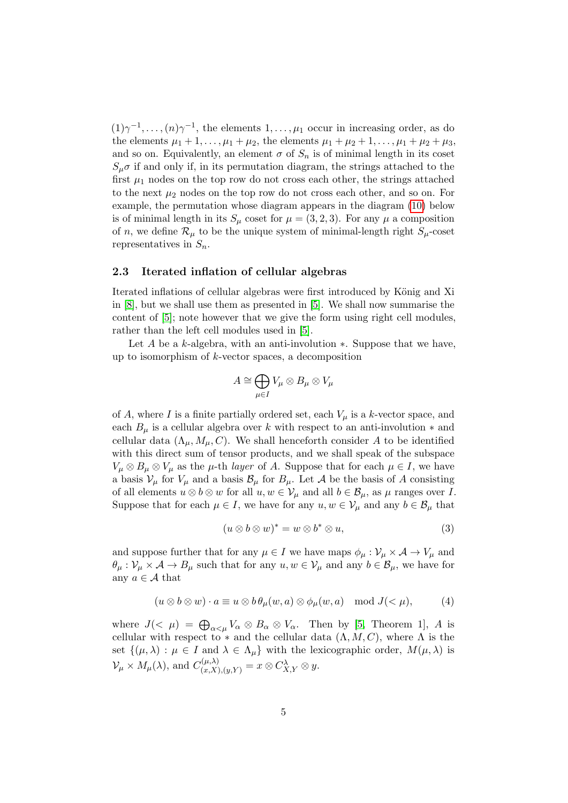$(1)\gamma^{-1}, \ldots, (n)\gamma^{-1}$ , the elements  $1, \ldots, \mu_1$  occur in increasing order, as do the elements  $\mu_1 + 1, \ldots, \mu_1 + \mu_2$ , the elements  $\mu_1 + \mu_2 + 1, \ldots, \mu_1 + \mu_2 + \mu_3$ , and so on. Equivalently, an element  $\sigma$  of  $S_n$  is of minimal length in its coset  $S_{\mu}\sigma$  if and only if, in its permutation diagram, the strings attached to the first  $\mu_1$  nodes on the top row do not cross each other, the strings attached to the next  $\mu_2$  nodes on the top row do not cross each other, and so on. For example, the permutation whose diagram appears in the diagram (10) below is of minimal length in its  $S_{\mu}$  coset for  $\mu = (3, 2, 3)$ . For any  $\mu$  a composition of n, we define  $\mathcal{R}_{\mu}$  to be the unique system of minimal-length right  $S_{\mu}$ -coset representatives in  $S_n$ .

#### 2.3 Iterated inflation of cellular algebras

Iterated inflations of cellular algebras were first introduced by König and Xi in [8], but we shall use them as presented in [5]. We shall now summarise the content of [5]; note however that we give the form using right cell modules, rather than the left cell modules used in [5].

Let A be a k-algebra, with an anti-involution  $\ast$ . Suppose that we have, up to isomorphism of k-vector spaces, a decomposition

$$
A\cong\bigoplus_{\mu\in I}V_\mu\otimes B_\mu\otimes V_\mu
$$

of A, where I is a finite partially ordered set, each  $V_\mu$  is a k-vector space, and each  $B_\mu$  is a cellular algebra over k with respect to an anti-involution  $*$  and cellular data  $(\Lambda_{\mu}, M_{\mu}, C)$ . We shall henceforth consider A to be identified with this direct sum of tensor products, and we shall speak of the subspace  $V_{\mu} \otimes B_{\mu} \otimes V_{\mu}$  as the  $\mu$ -th *layer* of A. Suppose that for each  $\mu \in I$ , we have a basis  $V_{\mu}$  for  $V_{\mu}$  and a basis  $\mathcal{B}_{\mu}$  for  $B_{\mu}$ . Let A be the basis of A consisting of all elements  $u \otimes b \otimes w$  for all  $u, w \in V_\mu$  and all  $b \in \mathcal{B}_\mu$ , as  $\mu$  ranges over I. Suppose that for each  $\mu \in I$ , we have for any  $u, w \in V_\mu$  and any  $b \in \mathcal{B}_\mu$  that

$$
(u \otimes b \otimes w)^* = w \otimes b^* \otimes u,\tag{3}
$$

and suppose further that for any  $\mu \in I$  we have maps  $\phi_{\mu} : \mathcal{V}_{\mu} \times \mathcal{A} \to V_{\mu}$  and  $\theta_{\mu}: \mathcal{V}_{\mu} \times \mathcal{A} \to B_{\mu}$  such that for any  $u, w \in \mathcal{V}_{\mu}$  and any  $b \in \mathcal{B}_{\mu}$ , we have for any  $a \in \mathcal{A}$  that

$$
(u \otimes b \otimes w) \cdot a \equiv u \otimes b \theta_{\mu}(w, a) \otimes \phi_{\mu}(w, a) \mod J(<\mu), \tag{4}
$$

where  $J( $\mu$ ) =  $\bigoplus_{\alpha<\mu}V_{\alpha}\otimes B_{\alpha}\otimes V_{\alpha}$ . Then by [5, Theorem 1], A is$ cellular with respect to  $*$  and the cellular data  $(\Lambda, M, C)$ , where  $\Lambda$  is the set  $\{(\mu, \lambda) : \mu \in I \text{ and } \lambda \in \Lambda_\mu \}$  with the lexicographic order,  $M(\mu, \lambda)$  is  $\mathcal{V}_{\mu} \times M_{\mu}(\lambda)$ , and  $C_{(x,X),(y,Y)}^{(\mu,\lambda)} = x \otimes C_{X,Y}^{\lambda} \otimes y$ .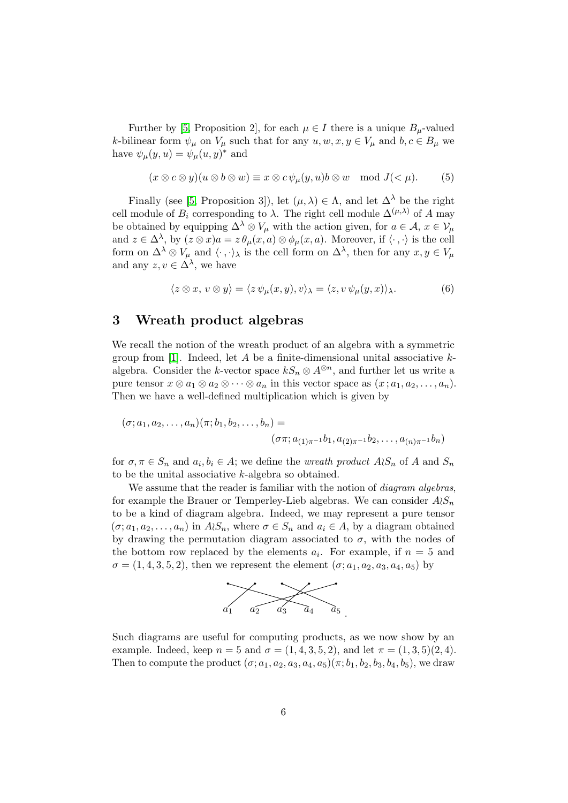Further by [5, Proposition 2], for each  $\mu \in I$  there is a unique  $B_{\mu}$ -valued k-bilinear form  $\psi_{\mu}$  on  $V_{\mu}$  such that for any  $u, w, x, y \in V_{\mu}$  and  $b, c \in B_{\mu}$  we have  $\psi_{\mu}(y, u) = \psi_{\mu}(u, y)^{*}$  and

$$
(x \otimes c \otimes y)(u \otimes b \otimes w) \equiv x \otimes c \psi_{\mu}(y, u)b \otimes w \mod J(< \mu).
$$
 (5)

Finally (see [5, Proposition 3]), let  $(\mu, \lambda) \in \Lambda$ , and let  $\Delta^{\lambda}$  be the right cell module of  $B_i$  corresponding to  $\lambda$ . The right cell module  $\Delta^{(\mu,\lambda)}$  of A may be obtained by equipping  $\Delta^{\lambda} \otimes V_{\mu}$  with the action given, for  $a \in \mathcal{A}$ ,  $x \in V_{\mu}$ and  $z \in \Delta^{\lambda}$ , by  $(z \otimes x)a = z \theta_{\mu}(x, a) \otimes \phi_{\mu}(x, a)$ . Moreover, if  $\langle \cdot, \cdot \rangle$  is the cell form on  $\Delta^{\lambda} \otimes V_{\mu}$  and  $\langle \cdot, \cdot \rangle_{\lambda}$  is the cell form on  $\Delta^{\lambda}$ , then for any  $x, y \in V_{\mu}$ and any  $z, v \in \Delta^{\lambda}$ , we have

$$
\langle z \otimes x, v \otimes y \rangle = \langle z \psi_{\mu}(x, y), v \rangle_{\lambda} = \langle z, v \psi_{\mu}(y, x) \rangle_{\lambda}.
$$
 (6)

## 3 Wreath product algebras

We recall the notion of the wreath product of an algebra with a symmetric group from [1]. Indeed, let A be a finite-dimensional unital associative  $k$ algebra. Consider the k-vector space  $kS_n \otimes A^{\otimes n}$ , and further let us write a pure tensor  $x \otimes a_1 \otimes a_2 \otimes \cdots \otimes a_n$  in this vector space as  $(x; a_1, a_2, \ldots, a_n)$ . Then we have a well-defined multiplication which is given by

$$
(\sigma; a_1, a_2, \dots, a_n)(\pi; b_1, b_2, \dots, b_n) =
$$

$$
(\sigma \pi; a_{(1)\pi^{-1}}b_1, a_{(2)\pi^{-1}}b_2, \dots, a_{(n)\pi^{-1}}b_n)
$$

for  $\sigma, \pi \in S_n$  and  $a_i, b_i \in A$ ; we define the *wreath product*  $A \wr S_n$  of A and  $S_n$ to be the unital associative k-algebra so obtained.

We assume that the reader is familiar with the notion of *diagram algebras*, for example the Brauer or Temperley-Lieb algebras. We can consider  $A\wr S_n$ to be a kind of diagram algebra. Indeed, we may represent a pure tensor  $(\sigma; a_1, a_2, \ldots, a_n)$  in  $A \wr S_n$ , where  $\sigma \in S_n$  and  $a_i \in A$ , by a diagram obtained by drawing the permutation diagram associated to  $\sigma$ , with the nodes of the bottom row replaced by the elements  $a_i$ . For example, if  $n = 5$  and  $\sigma = (1, 4, 3, 5, 2)$ , then we represent the element  $(\sigma; a_1, a_2, a_3, a_4, a_5)$  by



Such diagrams are useful for computing products, as we now show by an example. Indeed, keep  $n = 5$  and  $\sigma = (1, 4, 3, 5, 2)$ , and let  $\pi = (1, 3, 5)(2, 4)$ . Then to compute the product  $(\sigma; a_1, a_2, a_3, a_4, a_5)(\pi; b_1, b_2, b_3, b_4, b_5)$ , we draw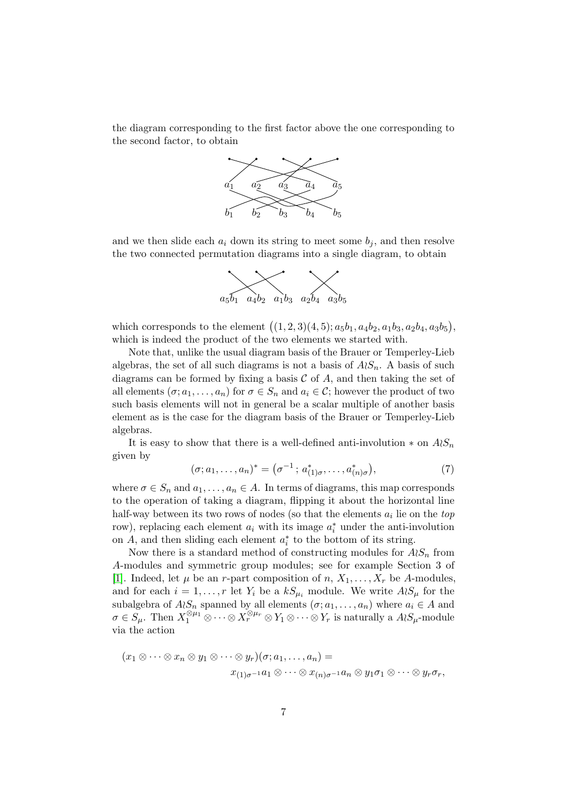the diagram corresponding to the first factor above the one corresponding to the second factor, to obtain



and we then slide each  $a_i$  down its string to meet some  $b_i$ , and then resolve the two connected permutation diagrams into a single diagram, to obtain



which corresponds to the element  $((1, 2, 3)(4, 5); a_5b_1, a_4b_2, a_1b_3, a_2b_4, a_3b_5),$ which is indeed the product of the two elements we started with.

Note that, unlike the usual diagram basis of the Brauer or Temperley-Lieb algebras, the set of all such diagrams is not a basis of  $A\wr S_n$ . A basis of such diagrams can be formed by fixing a basis  $\mathcal C$  of  $A$ , and then taking the set of all elements  $(\sigma; a_1, \ldots, a_n)$  for  $\sigma \in S_n$  and  $a_i \in \mathcal{C}$ ; however the product of two such basis elements will not in general be a scalar multiple of another basis element as is the case for the diagram basis of the Brauer or Temperley-Lieb algebras.

It is easy to show that there is a well-defined anti-involution  $*$  on  $A\wr S_n$ given by

$$
(\sigma; a_1, \dots, a_n)^* = (\sigma^{-1}; a^*_{(1)\sigma}, \dots, a^*_{(n)\sigma}), \tag{7}
$$

where  $\sigma \in S_n$  and  $a_1, \ldots, a_n \in A$ . In terms of diagrams, this map corresponds to the operation of taking a diagram, flipping it about the horizontal line half-way between its two rows of nodes (so that the elements  $a_i$  lie on the  $top$ row), replacing each element  $a_i$  with its image  $a_i^*$  under the anti-involution on  $A$ , and then sliding each element  $a_i^*$  to the bottom of its string.

Now there is a standard method of constructing modules for  $A\wr S_n$  from A-modules and symmetric group modules; see for example Section 3 of [1]. Indeed, let  $\mu$  be an *r*-part composition of *n*,  $X_1, \ldots, X_r$  be *A*-modules, and for each  $i = 1, \ldots, r$  let  $Y_i$  be a  $kS_{\mu_i}$  module. We write  $A \wr S_{\mu}$  for the subalgebra of  $A \wr S_n$  spanned by all elements  $(\sigma; a_1, \ldots, a_n)$  where  $a_i \in A$  and  $\sigma \in S_{\mu}$ . Then  $X_1^{\otimes \mu_1} \otimes \cdots \otimes X_r^{\otimes \mu_r} \otimes Y_1 \otimes \cdots \otimes Y_r$  is naturally a  $A \wr S_{\mu}$ -module via the action

$$
(x_1 \otimes \cdots \otimes x_n \otimes y_1 \otimes \cdots \otimes y_r)(\sigma; a_1, \ldots, a_n) =
$$
  

$$
x_{(1)\sigma^{-1}}a_1 \otimes \cdots \otimes x_{(n)\sigma^{-1}}a_n \otimes y_1\sigma_1 \otimes \cdots \otimes y_r\sigma_r,
$$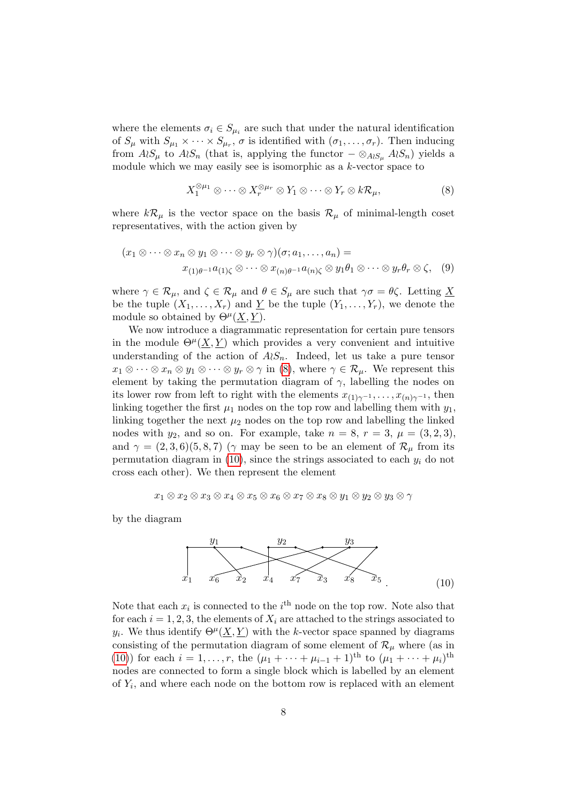where the elements  $\sigma_i \in S_{\mu_i}$  are such that under the natural identification of  $S_{\mu}$  with  $S_{\mu_1} \times \cdots \times S_{\mu_r}$ ,  $\sigma$  is identified with  $(\sigma_1, \ldots, \sigma_r)$ . Then inducing from  $A\wr S_\mu$  to  $A\wr S_n$  (that is, applying the functor  $-\otimes_{A\wr S_\mu} A\wr S_n$ ) yields a module which we may easily see is isomorphic as a  $k$ -vector space to

$$
X_1^{\otimes \mu_1} \otimes \cdots \otimes X_r^{\otimes \mu_r} \otimes Y_1 \otimes \cdots \otimes Y_r \otimes k \mathcal{R}_\mu,
$$
 (8)

where  $k\mathcal{R}_{\mu}$  is the vector space on the basis  $\mathcal{R}_{\mu}$  of minimal-length coset representatives, with the action given by

$$
(x_1 \otimes \cdots \otimes x_n \otimes y_1 \otimes \cdots \otimes y_r \otimes \gamma)(\sigma; a_1, \ldots, a_n) = x_{(1)\theta^{-1}}a_{(1)\zeta} \otimes \cdots \otimes x_{(n)\theta^{-1}}a_{(n)\zeta} \otimes y_1\theta_1 \otimes \cdots \otimes y_r\theta_r \otimes \zeta, \quad (9)
$$

where  $\gamma \in \mathcal{R}_{\mu}$ , and  $\zeta \in \mathcal{R}_{\mu}$  and  $\theta \in S_{\mu}$  are such that  $\gamma \sigma = \theta \zeta$ . Letting  $\underline{X}$ be the tuple  $(X_1, \ldots, X_r)$  and  $\underline{Y}$  be the tuple  $(Y_1, \ldots, Y_r)$ , we denote the module so obtained by  $\Theta^{\mu}(\underline{X}, \underline{Y})$ .

We now introduce a diagrammatic representation for certain pure tensors in the module  $\Theta^{\mu}(\underline{X}, \underline{Y})$  which provides a very convenient and intuitive understanding of the action of  $A\wr S_n$ . Indeed, let us take a pure tensor  $x_1 \otimes \cdots \otimes x_n \otimes y_1 \otimes \cdots \otimes y_r \otimes \gamma$  in (8), where  $\gamma \in \mathcal{R}_{\mu}$ . We represent this element by taking the permutation diagram of  $\gamma$ , labelling the nodes on its lower row from left to right with the elements  $x_{(1)\gamma^{-1}}, \ldots, x_{(n)\gamma^{-1}}$ , then linking together the first  $\mu_1$  nodes on the top row and labelling them with  $y_1$ , linking together the next  $\mu_2$  nodes on the top row and labelling the linked nodes with  $y_2$ , and so on. For example, take  $n = 8$ ,  $r = 3$ ,  $\mu = (3, 2, 3)$ , and  $\gamma = (2,3,6)(5,8,7)$  ( $\gamma$  may be seen to be an element of  $\mathcal{R}_{\mu}$  from its permutation diagram in  $(10)$ , since the strings associated to each  $y_i$  do not cross each other). We then represent the element

$$
x_1 \otimes x_2 \otimes x_3 \otimes x_4 \otimes x_5 \otimes x_6 \otimes x_7 \otimes x_8 \otimes y_1 \otimes y_2 \otimes y_3 \otimes \gamma
$$

by the diagram



Note that each  $x_i$  is connected to the  $i^{\text{th}}$  node on the top row. Note also that for each  $i = 1, 2, 3$ , the elements of  $X_i$  are attached to the strings associated to  $y_i$ . We thus identify  $\Theta^{\mu}(\underline{X}, \underline{Y})$  with the k-vector space spanned by diagrams consisting of the permutation diagram of some element of  $\mathcal{R}_{\mu}$  where (as in (10)) for each  $i = 1, ..., r$ , the  $(\mu_1 + \cdots + \mu_{i-1} + 1)$ <sup>th</sup> to  $(\mu_1 + \cdots + \mu_i)$ <sup>th</sup> nodes are connected to form a single block which is labelled by an element of  $Y_i$ , and where each node on the bottom row is replaced with an element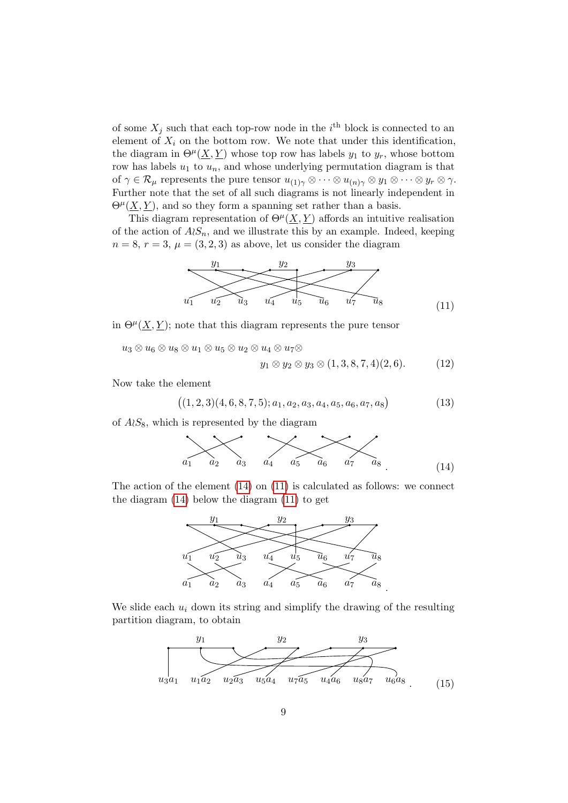of some  $X_j$  such that each top-row node in the i<sup>th</sup> block is connected to an element of  $X_i$  on the bottom row. We note that under this identification. the diagram in  $\Theta^{\mu}(\underline{X}, \underline{Y})$  whose top row has labels  $y_1$  to  $y_r$ , whose bottom row has labels  $u_1$  to  $u_n$ , and whose underlying permutation diagram is that of  $\gamma \in \mathcal{R}_{\mu}$  represents the pure tensor  $u_{(1)\gamma} \otimes \cdots \otimes u_{(n)\gamma} \otimes y_1 \otimes \cdots \otimes y_r \otimes \gamma$ . Further note that the set of all such diagrams is not linearly independent in  $\Theta^{\mu}(\underline{X}, \underline{Y})$ , and so they form a spanning set rather than a basis.

This diagram representation of  $\Theta^{\mu}(\underline{X}, \underline{Y})$  affords an intuitive realisation of the action of  $A\wr S_n$ , and we illustrate this by an example. Indeed, keeping  $n = 8, r = 3, \mu = (3, 2, 3)$  as above, let us consider the diagram



in  $\Theta^{\mu}(\underline{X}, \underline{Y});$  note that this diagram represents the pure tensor

 $u_3 \otimes u_6 \otimes u_8 \otimes u_1 \otimes u_5 \otimes u_2 \otimes u_4 \otimes u_7 \otimes$ 

$$
y_1 \otimes y_2 \otimes y_3 \otimes (1,3,8,7,4)(2,6). \tag{12}
$$

Now take the element

$$
((1,2,3)(4,6,8,7,5);a_1,a_2,a_3,a_4,a_5,a_6,a_7,a_8)
$$
\n(13)

of  $A\wr S_8$ , which is represented by the diagram

$$
a_1
$$
  $a_2$   $a_3$   $a_4$   $a_5$   $a_6$   $a_7$   $a_8$  (14)

The action of the element  $(14)$  on  $(11)$  is calculated as follows: we connect the diagram (14) below the diagram (11) to get



We slide each  $u_i$  down its string and simplify the drawing of the resulting partition diagram, to obtain

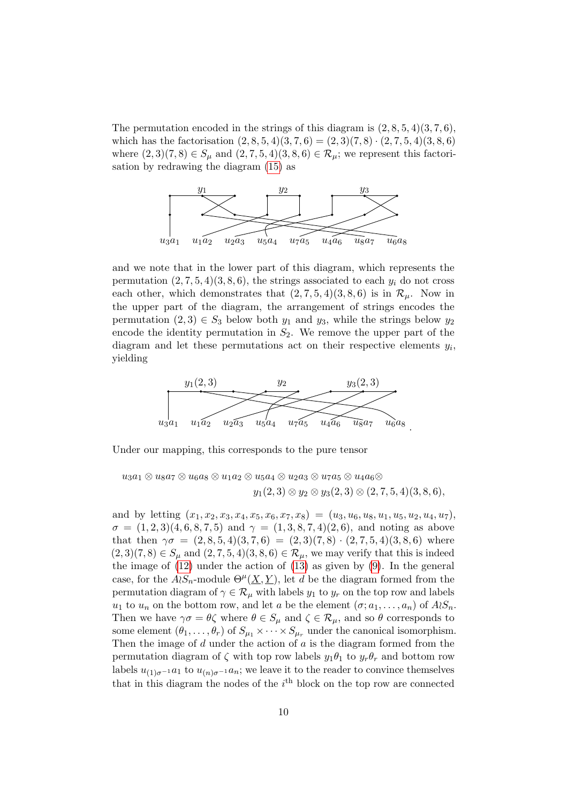The permutation encoded in the strings of this diagram is  $(2, 8, 5, 4)(3, 7, 6)$ , which has the factorisation  $(2, 8, 5, 4)(3, 7, 6) = (2, 3)(7, 8) \cdot (2, 7, 5, 4)(3, 8, 6)$ where  $(2, 3)(7, 8) \in S_\mu$  and  $(2, 7, 5, 4)(3, 8, 6) \in \mathcal{R}_\mu$ ; we represent this factorisation by redrawing the diagram (15) as



and we note that in the lower part of this diagram, which represents the permutation  $(2, 7, 5, 4)(3, 8, 6)$ , the strings associated to each  $y_i$  do not cross each other, which demonstrates that  $(2, 7, 5, 4)(3, 8, 6)$  is in  $\mathcal{R}_{\mu}$ . Now in the upper part of the diagram, the arrangement of strings encodes the permutation  $(2,3) \in S_3$  below both  $y_1$  and  $y_3$ , while the strings below  $y_2$ encode the identity permutation in  $S_2$ . We remove the upper part of the diagram and let these permutations act on their respective elements  $y_i$ , yielding



Under our mapping, this corresponds to the pure tensor

$$
u_3a_1 \otimes u_8a_7 \otimes u_6a_8 \otimes u_1a_2 \otimes u_5a_4 \otimes u_2a_3 \otimes u_7a_5 \otimes u_4a_6 \otimes
$$
  

$$
y_1(2,3) \otimes y_2 \otimes y_3(2,3) \otimes (2,7,5,4)(3,8,6),
$$

and by letting  $(x_1, x_2, x_3, x_4, x_5, x_6, x_7, x_8) = (u_3, u_6, u_8, u_1, u_5, u_2, u_4, u_7),$  $\sigma = (1, 2, 3), (4, 6, 8, 7, 5)$  and  $\gamma = (1, 3, 8, 7, 4), (2, 6)$ , and noting as above that then  $\gamma \sigma = (2, 8, 5, 4)(3, 7, 6) = (2, 3)(7, 8) \cdot (2, 7, 5, 4)(3, 8, 6)$  where  $(2, 3)(7, 8) \in S_\mu$  and  $(2, 7, 5, 4)(3, 8, 6) \in \mathcal{R}_\mu$ , we may verify that this is indeed the image of (12) under the action of (13) as given by (9). In the general case, for the  $A \wr S_n$ -module  $\Theta^{\mu}(\underline{X}, \underline{Y})$ , let d be the diagram formed from the permutation diagram of  $\gamma \in \mathcal{R}_{\mu}$  with labels  $y_1$  to  $y_r$  on the top row and labels  $u_1$  to  $u_n$  on the bottom row, and let a be the element  $(\sigma; a_1, \ldots, a_n)$  of  $A \wr S_n$ . Then we have  $\gamma \sigma = \theta \zeta$  where  $\theta \in S_\mu$  and  $\zeta \in \mathcal{R}_\mu$ , and so  $\theta$  corresponds to some element  $(\theta_1, \ldots, \theta_r)$  of  $S_{\mu_1} \times \cdots \times S_{\mu_r}$  under the canonical isomorphism. Then the image of  $d$  under the action of  $a$  is the diagram formed from the permutation diagram of  $\zeta$  with top row labels  $y_1\theta_1$  to  $y_r\theta_r$  and bottom row labels  $u_{(1)\sigma^{-1}}a_1$  to  $u_{(n)\sigma^{-1}}a_n$ ; we leave it to the reader to convince themselves that in this diagram the nodes of the  $i<sup>th</sup>$  block on the top row are connected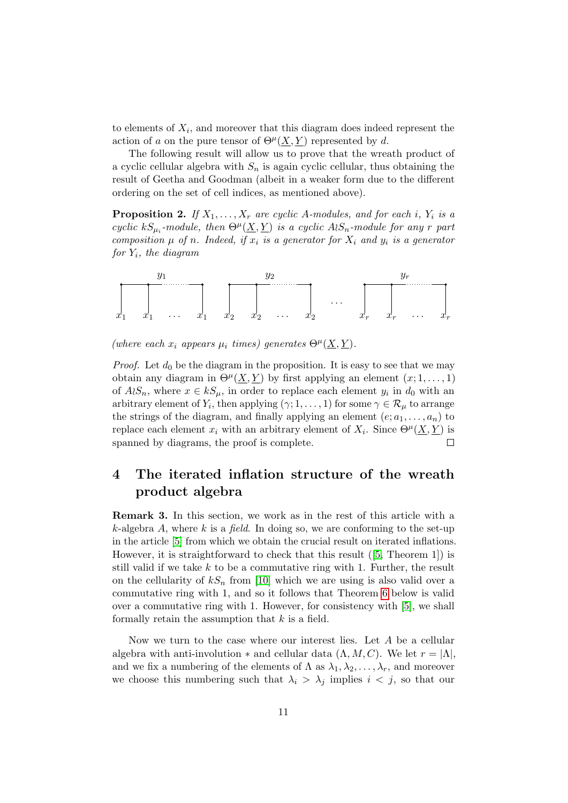to elements of  $X_i$ , and moreover that this diagram does indeed represent the action of a on the pure tensor of  $\Theta^{\mu}(\underline{X}, \underline{Y})$  represented by d.

The following result will allow us to prove that the wreath product of a cyclic cellular algebra with  $S_n$  is again cyclic cellular, thus obtaining the result of Geetha and Goodman (albeit in a weaker form due to the different ordering on the set of cell indices, as mentioned above).

**Proposition 2.** If  $X_1, \ldots, X_r$  are cyclic A-modules, and for each i,  $Y_i$  is a cyclic  $kS_{\mu_i}$ -module, then  $\Theta^{\mu}(\underline{X},\underline{Y})$  is a cyclic  $A\wr S_n$ -module for any r part composition  $\mu$  of n. Indeed, if  $x_i$  is a generator for  $X_i$  and  $y_i$  is a generator for  $Y_i$ , the diagram



(where each  $x_i$  appears  $\mu_i$  times) generates  $\Theta^{\mu}(\underline{X}, \underline{Y})$ .

*Proof.* Let  $d_0$  be the diagram in the proposition. It is easy to see that we may obtain any diagram in  $\Theta^{\mu}(\underline{X}, \underline{Y})$  by first applying an element  $(x; 1, \ldots, 1)$ of  $A \wr S_n$ , where  $x \in kS_\mu$ , in order to replace each element  $y_i$  in  $d_0$  with an arbitrary element of  $Y_i$ , then applying  $(\gamma; 1, \ldots, 1)$  for some  $\gamma \in \mathcal{R}_{\mu}$  to arrange the strings of the diagram, and finally applying an element  $(e; a_1, \ldots, a_n)$  to replace each element  $x_i$  with an arbitrary element of  $X_i$ . Since  $\Theta^{\mu}(\underline{X}, \underline{Y})$  is spanned by diagrams, the proof is complete.  $\Box$ 

## 4 The iterated inflation structure of the wreath product algebra

Remark 3. In this section, we work as in the rest of this article with a  $k$ -algebra A, where k is a field. In doing so, we are conforming to the set-up in the article [5] from which we obtain the crucial result on iterated inflations. However, it is straightforward to check that this result ([5, Theorem 1]) is still valid if we take  $k$  to be a commutative ring with 1. Further, the result on the cellularity of  $kS_n$  from [10] which we are using is also valid over a commutative ring with 1, and so it follows that Theorem 6 below is valid over a commutative ring with 1. However, for consistency with [5], we shall formally retain the assumption that  $k$  is a field.

Now we turn to the case where our interest lies. Let A be a cellular algebra with anti-involution  $*$  and cellular data  $(\Lambda, M, C)$ . We let  $r = |\Lambda|$ , and we fix a numbering of the elements of  $\Lambda$  as  $\lambda_1, \lambda_2, \ldots, \lambda_r$ , and moreover we choose this numbering such that  $\lambda_i > \lambda_j$  implies  $i < j$ , so that our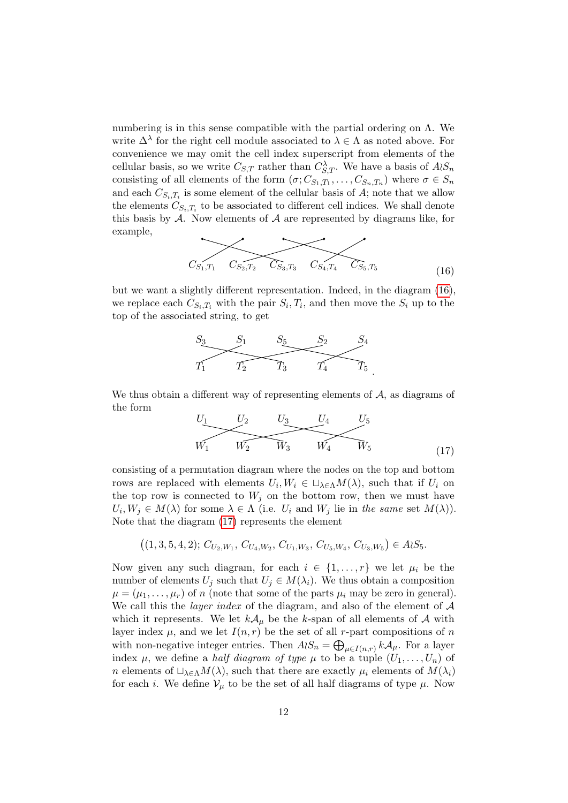numbering is in this sense compatible with the partial ordering on  $\Lambda$ . We write  $\Delta^{\lambda}$  for the right cell module associated to  $\lambda \in \Lambda$  as noted above. For convenience we may omit the cell index superscript from elements of the cellular basis, so we write  $C_{S,T}$  rather than  $C_{S,T}^{\lambda}$ . We have a basis of  $A \wr S_n$ consisting of all elements of the form  $(\sigma; C_{S_1,T_1}, \ldots, C_{S_n,T_n})$  where  $\sigma \in S_n$ and each  $C_{S_i,T_i}$  is some element of the cellular basis of A; note that we allow the elements  $C_{S_i,T_i}$  to be associated to different cell indices. We shall denote this basis by  $A$ . Now elements of  $A$  are represented by diagrams like, for example,

$$
C_{S_1,T_1} \quad C_{S_2,T_2} \quad C_{S_3,T_3} \quad C_{S_4,T_4} \quad C_{S_5,T_5} \tag{16}
$$

but we want a slightly different representation. Indeed, in the diagram (16), we replace each  $C_{S_i,T_i}$  with the pair  $S_i,T_i$ , and then move the  $S_i$  up to the top of the associated string, to get



We thus obtain a different way of representing elements of  $A$ , as diagrams of the form

$$
U_1 \t\t U_2 \t\t U_3 \t\t U_4 \t\t U_5\nW_1 \t\t W_2 \t\t W_3 \t\t W_4 \t\t W_5 \t\t(17)
$$

consisting of a permutation diagram where the nodes on the top and bottom rows are replaced with elements  $U_i, W_i \in \sqcup_{\lambda \in \Lambda} M(\lambda)$ , such that if  $U_i$  on the top row is connected to  $W_j$  on the bottom row, then we must have  $U_i, W_j \in M(\lambda)$  for some  $\lambda \in \Lambda$  (i.e.  $U_i$  and  $W_j$  lie in the same set  $M(\lambda)$ ). Note that the diagram (17) represents the element

$$
((1,3,5,4,2); C_{U_2,W_1}, C_{U_4,W_2}, C_{U_1,W_3}, C_{U_5,W_4}, C_{U_3,W_5}) \in A \wr S_5.
$$

Now given any such diagram, for each  $i \in \{1, ..., r\}$  we let  $\mu_i$  be the number of elements  $U_j$  such that  $U_j \in M(\lambda_i)$ . We thus obtain a composition  $\mu = (\mu_1, \ldots, \mu_r)$  of n (note that some of the parts  $\mu_i$  may be zero in general). We call this the *layer index* of the diagram, and also of the element of  $A$ which it represents. We let  $k\mathcal{A}_{\mu}$  be the k-span of all elements of A with layer index  $\mu$ , and we let  $I(n,r)$  be the set of all r-part compositions of n with non-negative integer entries. Then  $A \wr S_n = \bigoplus_{\mu \in I(n,r)} k \mathcal{A}_{\mu}$ . For a layer index  $\mu$ , we define a *half diagram of type*  $\mu$  to be a tuple  $(U_1, \ldots, U_n)$  of n elements of  $\Box_{\lambda \in \Lambda} M(\lambda)$ , such that there are exactly  $\mu_i$  elements of  $M(\lambda_i)$ for each *i*. We define  $V_\mu$  to be the set of all half diagrams of type  $\mu$ . Now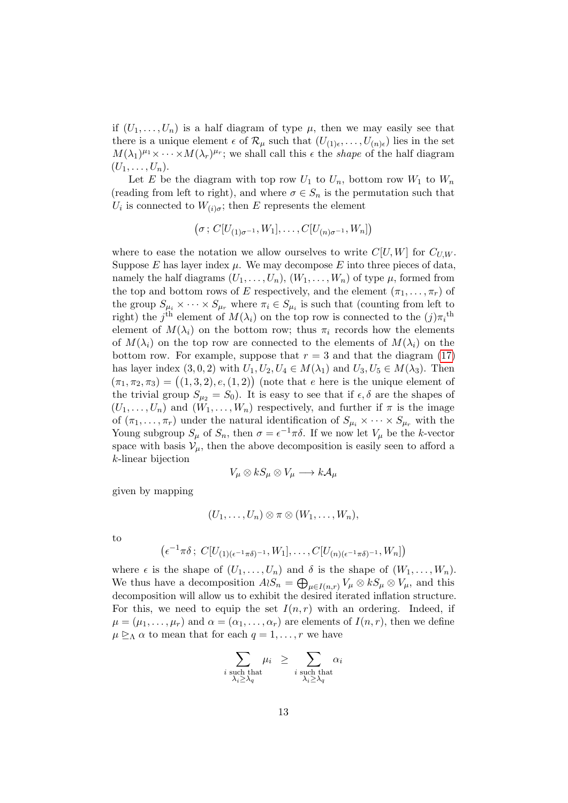if  $(U_1, \ldots, U_n)$  is a half diagram of type  $\mu$ , then we may easily see that there is a unique element  $\epsilon$  of  $\mathcal{R}_{\mu}$  such that  $(U_{(1)\epsilon},...,U_{(n)\epsilon})$  lies in the set  $M(\lambda_1)^{\mu_1} \times \cdots \times M(\lambda_r)^{\mu_r}$ ; we shall call this  $\epsilon$  the *shape* of the half diagram  $(U_1,\ldots,U_n).$ 

Let E be the diagram with top row  $U_1$  to  $U_n$ , bottom row  $W_1$  to  $W_n$ (reading from left to right), and where  $\sigma \in S_n$  is the permutation such that  $U_i$  is connected to  $W_{(i)\sigma}$ ; then E represents the element

$$
(\sigma: C[U_{(1)\sigma^{-1}}, W_1], \ldots, C[U_{(n)\sigma^{-1}}, W_n])
$$

where to ease the notation we allow ourselves to write  $C[U, W]$  for  $C_{U, W}$ . Suppose  $E$  has layer index  $\mu$ . We may decompose  $E$  into three pieces of data, namely the half diagrams  $(U_1, \ldots, U_n)$ ,  $(W_1, \ldots, W_n)$  of type  $\mu$ , formed from the top and bottom rows of E respectively, and the element  $(\pi_1, \ldots, \pi_r)$  of the group  $S_{\mu_i} \times \cdots \times S_{\mu_r}$  where  $\pi_i \in S_{\mu_i}$  is such that (counting from left to right) the  $j^{\text{th}}$  element of  $M(\lambda_i)$  on the top row is connected to the  $(j)\pi_i^{\text{th}}$ element of  $M(\lambda_i)$  on the bottom row; thus  $\pi_i$  records how the elements of  $M(\lambda_i)$  on the top row are connected to the elements of  $M(\lambda_i)$  on the bottom row. For example, suppose that  $r = 3$  and that the diagram (17) has layer index  $(3, 0, 2)$  with  $U_1, U_2, U_4 \in M(\lambda_1)$  and  $U_3, U_5 \in M(\lambda_3)$ . Then  $(\pi_1, \pi_2, \pi_3) = ((1, 3, 2), e, (1, 2))$  (note that e here is the unique element of the trivial group  $S_{\mu_2} = S_0$ . It is easy to see that if  $\epsilon, \delta$  are the shapes of  $(U_1, \ldots, U_n)$  and  $(W_1, \ldots, W_n)$  respectively, and further if  $\pi$  is the image of  $(\pi_1, \ldots, \pi_r)$  under the natural identification of  $S_{\mu_i} \times \cdots \times S_{\mu_r}$  with the Young subgroup  $S_{\mu}$  of  $S_n$ , then  $\sigma = \epsilon^{-1}\pi\delta$ . If we now let  $V_{\mu}$  be the k-vector space with basis  $V_{\mu}$ , then the above decomposition is easily seen to afford a k-linear bijection

$$
V_{\mu} \otimes kS_{\mu} \otimes V_{\mu} \longrightarrow k{\cal A}_{\mu}
$$

given by mapping

$$
(U_1,\ldots,U_n)\otimes \pi\otimes (W_1,\ldots,W_n),
$$

to

$$
(\epsilon^{-1}\pi\delta\,;\,C[U_{(1)(\epsilon^{-1}\pi\delta)^{-1}},W_1],\ldots,C[U_{(n)(\epsilon^{-1}\pi\delta)^{-1}},W_n])
$$

where  $\epsilon$  is the shape of  $(U_1, \ldots, U_n)$  and  $\delta$  is the shape of  $(W_1, \ldots, W_n)$ . We thus have a decomposition  $A_iS_n = \bigoplus_{\mu \in I(n,r)} V_\mu \otimes kS_\mu \otimes V_\mu$ , and this decomposition will allow us to exhibit the desired iterated inflation structure. For this, we need to equip the set  $I(n, r)$  with an ordering. Indeed, if  $\mu = (\mu_1, \ldots, \mu_r)$  and  $\alpha = (\alpha_1, \ldots, \alpha_r)$  are elements of  $I(n, r)$ , then we define  $\mu \geq_{\Lambda} \alpha$  to mean that for each  $q = 1, \ldots, r$  we have

$$
\sum_{\substack{i \text{ such that} \\ \lambda_i \ge \lambda_q}} \mu_i \ge \sum_{\substack{i \text{ such that} \\ \lambda_i \ge \lambda_q}} \alpha_i
$$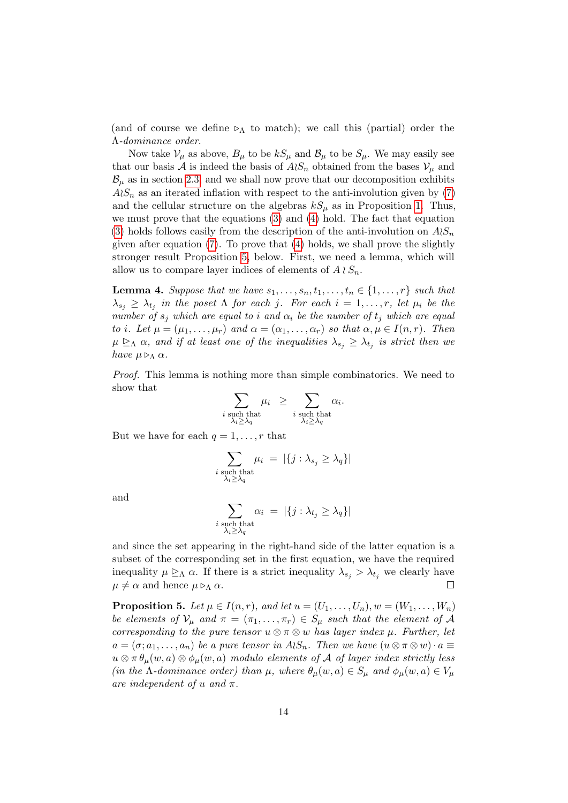(and of course we define  $\triangleright_{\Lambda}$  to match); we call this (partial) order the Λ-dominance order.

Now take  $V_\mu$  as above,  $B_\mu$  to be  $kS_\mu$  and  $\mathcal{B}_\mu$  to be  $S_\mu$ . We may easily see that our basis A is indeed the basis of  $A\wr S_n$  obtained from the bases  $V_\mu$  and  $\mathcal{B}_{\mu}$  as in section 2.3, and we shall now prove that our decomposition exhibits  $A\wr S_n$  as an iterated inflation with respect to the anti-involution given by (7) and the cellular structure on the algebras  $kS_u$  as in Proposition 1. Thus, we must prove that the equations (3) and (4) hold. The fact that equation (3) holds follows easily from the description of the anti-involution on  $A\wr S_n$ given after equation (7). To prove that (4) holds, we shall prove the slightly stronger result Proposition 5, below. First, we need a lemma, which will allow us to compare layer indices of elements of  $A \wr S_n$ .

**Lemma 4.** Suppose that we have  $s_1, \ldots, s_n, t_1, \ldots, t_n \in \{1, \ldots, r\}$  such that  $\lambda_{s_j} \geq \lambda_{t_j}$  in the poset  $\Lambda$  for each j. For each  $i = 1, \ldots, r$ , let  $\mu_i$  be the number of  $s_i$  which are equal to i and  $\alpha_i$  be the number of  $t_i$  which are equal to i. Let  $\mu = (\mu_1, \ldots, \mu_r)$  and  $\alpha = (\alpha_1, \ldots, \alpha_r)$  so that  $\alpha, \mu \in I(n, r)$ . Then  $\mu \geq_{\Lambda} \alpha$ , and if at least one of the inequalities  $\lambda_{s_j} \geq \lambda_{t_j}$  is strict then we have  $\mu \triangleright_{\Lambda} \alpha$ .

Proof. This lemma is nothing more than simple combinatorics. We need to show that

$$
\sum_{\substack{i \text{ such that} \\ \lambda_i \ge \lambda_q}} \mu_i \ge \sum_{\substack{i \text{ such that} \\ \lambda_i \ge \lambda_q}} \alpha_i
$$

.

But we have for each  $q = 1, \ldots, r$  that

$$
\sum_{\substack{i \text{ such that} \\ \lambda_i \ge \lambda_q}} \mu_i = |\{j : \lambda_{s_j} \ge \lambda_q\}|
$$

and

$$
\sum_{\substack{i \text{ such that} \\ \lambda_i \geq \lambda_q}} \alpha_i = |\{j : \lambda_{t_j} \geq \lambda_q\}|
$$

and since the set appearing in the right-hand side of the latter equation is a subset of the corresponding set in the first equation, we have the required inequality  $\mu \geq_{\Lambda} \alpha$ . If there is a strict inequality  $\lambda_{s_i} > \lambda_{t_i}$  we clearly have  $\mu \neq \alpha$  and hence  $\mu \triangleright_{\Lambda} \alpha$ .  $\Box$ 

**Proposition 5.** Let  $\mu \in I(n,r)$ , and let  $u = (U_1, \ldots, U_n)$ ,  $w = (W_1, \ldots, W_n)$ be elements of  $\mathcal{V}_{\mu}$  and  $\pi = (\pi_1, \ldots, \pi_r) \in S_{\mu}$  such that the element of A corresponding to the pure tensor  $u \otimes \pi \otimes w$  has layer index  $\mu$ . Further, let  $a = (\sigma; a_1, \ldots, a_n)$  be a pure tensor in  $A \wr S_n$ . Then we have  $(u \otimes \pi \otimes w) \cdot a \equiv$  $u \otimes \pi \theta_{\mu}(w, a) \otimes \phi_{\mu}(w, a)$  modulo elements of A of layer index strictly less (in the  $\Lambda$ -dominance order) than  $\mu$ , where  $\theta_{\mu}(w, a) \in S_{\mu}$  and  $\phi_{\mu}(w, a) \in V_{\mu}$ are independent of u and  $\pi$ .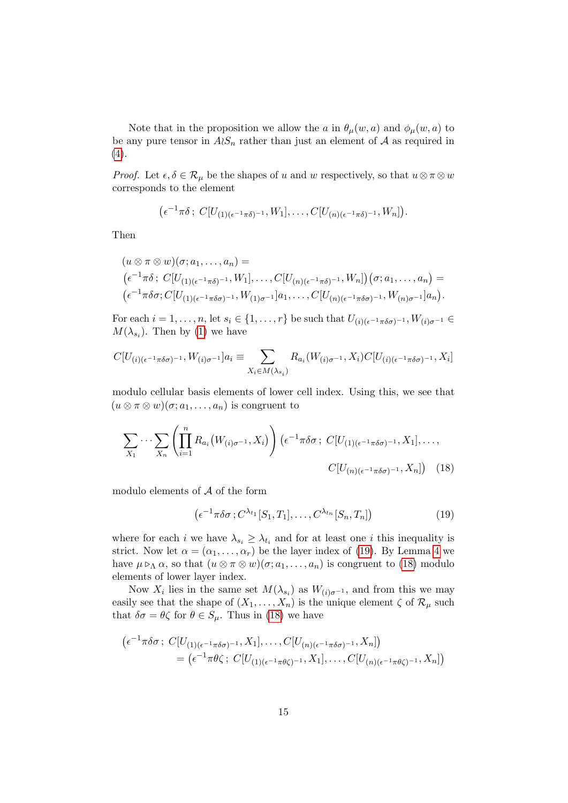Note that in the proposition we allow the a in  $\theta_{\mu}(w, a)$  and  $\phi_{\mu}(w, a)$  to be any pure tensor in  $A\wr S_n$  rather than just an element of A as required in  $(4).$ 

*Proof.* Let  $\epsilon, \delta \in \mathcal{R}_{\mu}$  be the shapes of u and w respectively, so that  $u \otimes \pi \otimes w$ corresponds to the element

$$
(\epsilon^{-1}\pi\delta\,;\,C[U_{(1)(\epsilon^{-1}\pi\delta)^{-1}},W_1],\ldots,C[U_{(n)(\epsilon^{-1}\pi\delta)^{-1}},W_n]).
$$

Then

$$
(u \otimes \pi \otimes w)(\sigma; a_1, \ldots, a_n) =
$$
  
\n
$$
(\epsilon^{-1}\pi\delta; C[U_{(1)(\epsilon^{-1}\pi\delta)^{-1}}, W_1], \ldots, C[U_{(n)(\epsilon^{-1}\pi\delta)^{-1}}, W_n])(\sigma; a_1, \ldots, a_n) =
$$
  
\n
$$
(\epsilon^{-1}\pi\delta\sigma; C[U_{(1)(\epsilon^{-1}\pi\delta\sigma)^{-1}}, W_{(1)\sigma^{-1}}]a_1, \ldots, C[U_{(n)(\epsilon^{-1}\pi\delta\sigma)^{-1}}, W_{(n)\sigma^{-1}}]a_n).
$$

For each  $i = 1, \ldots, n$ , let  $s_i \in \{1, \ldots, r\}$  be such that  $U_{(i)(\epsilon^{-1}\pi\delta\sigma)^{-1}}$ ,  $W_{(i)\sigma^{-1}} \in$  $M(\lambda_{s_i})$ . Then by (1) we have

$$
C[U_{(i)(\epsilon^{-1}\pi\delta\sigma)^{-1}},W_{(i)\sigma^{-1}}]a_i \equiv \sum_{X_i \in M(\lambda_{s_i})} R_{a_i}(W_{(i)\sigma^{-1}},X_i)C[U_{(i)(\epsilon^{-1}\pi\delta\sigma)^{-1}},X_i]
$$

modulo cellular basis elements of lower cell index. Using this, we see that  $(u \otimes \pi \otimes w)(\sigma; a_1, \ldots, a_n)$  is congruent to

$$
\sum_{X_1} \cdots \sum_{X_n} \left( \prod_{i=1}^n R_{a_i} \left( W_{(i)\sigma^{-1}}, X_i \right) \right) \left( \epsilon^{-1} \pi \delta \sigma \, ; \, C[U_{(1)(\epsilon^{-1} \pi \delta \sigma)^{-1}}, X_1], \dots, \right)
$$
\n
$$
C[U_{(n)(\epsilon^{-1} \pi \delta \sigma)^{-1}}, X_n] \right) \tag{18}
$$

modulo elements of  $A$  of the form

$$
\left(\epsilon^{-1}\pi\delta\sigma\,;C^{\lambda_{t_1}}[S_1,T_1],\ldots,C^{\lambda_{t_n}}[S_n,T_n]\right)
$$
\n
$$
(19)
$$

where for each *i* we have  $\lambda_{s_i} \geq \lambda_{t_i}$  and for at least one *i* this inequality is strict. Now let  $\alpha = (\alpha_1, \ldots, \alpha_r)$  be the layer index of (19). By Lemma 4 we have  $\mu \triangleright_{\Lambda} \alpha$ , so that  $(u \otimes \pi \otimes w)(\sigma; a_1, \ldots, a_n)$  is congruent to (18) modulo elements of lower layer index.

Now  $X_i$  lies in the same set  $M(\lambda_{s_i})$  as  $W_{(i)\sigma^{-1}}$ , and from this we may easily see that the shape of  $(X_1, \ldots, X_n)$  is the unique element  $\zeta$  of  $\mathcal{R}_{\mu}$  such that  $\delta \sigma = \theta \zeta$  for  $\theta \in S_{\mu}$ . Thus in (18) we have

$$
\begin{aligned} \left(\epsilon^{-1}\pi\delta\sigma\,;\ C[U_{(1)(\epsilon^{-1}\pi\delta\sigma)^{-1}},X_1],\ldots,C[U_{(n)(\epsilon^{-1}\pi\delta\sigma)^{-1}},X_n]\right) \\ &= \left(\epsilon^{-1}\pi\theta\zeta\,;\ C[U_{(1)(\epsilon^{-1}\pi\theta\zeta)^{-1}},X_1],\ldots,C[U_{(n)(\epsilon^{-1}\pi\theta\zeta)^{-1}},X_n]\right) \end{aligned}
$$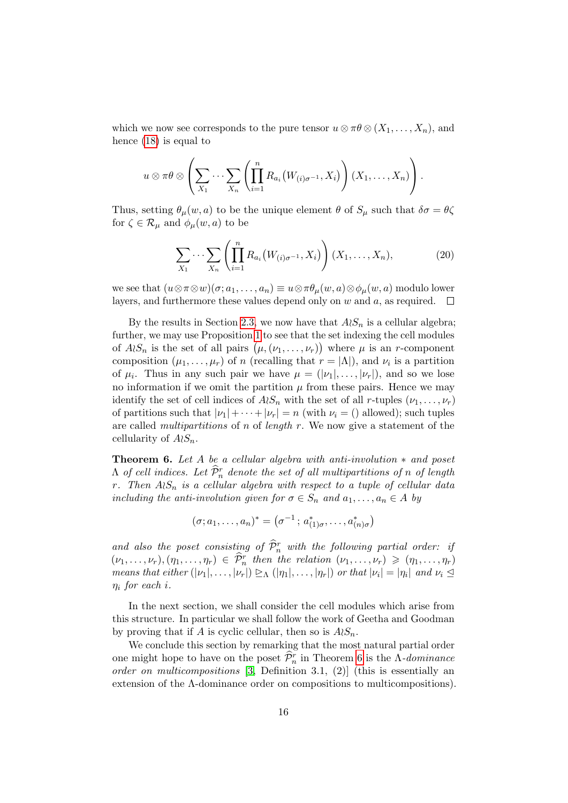which we now see corresponds to the pure tensor  $u \otimes \pi \theta \otimes (X_1, \ldots, X_n)$ , and hence (18) is equal to

$$
u \otimes \pi \theta \otimes \left( \sum_{X_1} \cdots \sum_{X_n} \left( \prod_{i=1}^n R_{a_i} (W_{(i)\sigma^{-1}}, X_i) \right) (X_1, \ldots, X_n) \right).
$$

Thus, setting  $\theta_\mu(w, a)$  to be the unique element  $\theta$  of  $S_\mu$  such that  $\delta \sigma = \theta \zeta$ for  $\zeta \in \mathcal{R}_{\mu}$  and  $\phi_{\mu}(w, a)$  to be

$$
\sum_{X_1} \cdots \sum_{X_n} \left( \prod_{i=1}^n R_{a_i} \big( W_{(i)\sigma^{-1}}, X_i \big) \right) (X_1, \dots, X_n), \tag{20}
$$

we see that  $(u \otimes \pi \otimes w)(\sigma; a_1, \ldots, a_n) \equiv u \otimes \pi \theta_\mu(w, a) \otimes \phi_\mu(w, a)$  modulo lower layers, and furthermore these values depend only on w and a, as required.  $\Box$ 

By the results in Section 2.3, we now have that  $A\wr S_n$  is a cellular algebra; further, we may use Proposition 1 to see that the set indexing the cell modules of  $A \wr S_n$  is the set of all pairs  $(\mu, (\nu_1, \ldots, \nu_r))$  where  $\mu$  is an r-component composition  $(\mu_1, \ldots, \mu_r)$  of n (recalling that  $r = |\Lambda|$ ), and  $\nu_i$  is a partition of  $\mu_i$ . Thus in any such pair we have  $\mu = (|\nu_1|, \ldots, |\nu_r|)$ , and so we lose no information if we omit the partition  $\mu$  from these pairs. Hence we may identify the set of cell indices of  $A\wr S_n$  with the set of all r-tuples  $(\nu_1, \ldots, \nu_r)$ of partitions such that  $|\nu_1| + \cdots + |\nu_r| = n$  (with  $\nu_i = ()$  allowed); such tuples are called *multipartitions* of n of *length*  $r$ . We now give a statement of the cellularity of  $A\wr S_n$ .

**Theorem 6.** Let A be a cellular algebra with anti-involution  $*$  and poset  $\Lambda$  of cell indices. Let  $\widehat{\mathcal{P}}_n^r$  denote the set of all multipartitions of n of length r. Then  $A\wr S_n$  is a cellular algebra with respect to a tuple of cellular data including the anti-involution given for  $\sigma \in S_n$  and  $a_1, \ldots, a_n \in A$  by

$$
(\sigma; a_1, \ldots, a_n)^* = (\sigma^{-1}; a^*_{(1)\sigma}, \ldots, a^*_{(n)\sigma})
$$

and also the poset consisting of  $\widehat{\mathcal{P}}_n^r$  with the following partial order: if  $(\nu_1, \ldots, \nu_r), (\eta_1, \ldots, \eta_r) \in \hat{\mathcal{P}}_n^r$  then the relation  $(\nu_1, \ldots, \nu_r) \geqslant (\eta_1, \ldots, \eta_r)$ means that either  $(|\nu_1|, \ldots, |\nu_r|) \trianglerighteq_{\Lambda} (|\eta_1|, \ldots, |\eta_r|)$  or that  $|\nu_i| = |\eta_i|$  and  $\nu_i \trianglelefteq$  $\eta_i$  for each i.

In the next section, we shall consider the cell modules which arise from this structure. In particular we shall follow the work of Geetha and Goodman by proving that if A is cyclic cellular, then so is  $A\wr S_n$ .

We conclude this section by remarking that the most natural partial order one might hope to have on the poset  $\widehat{\mathcal{P}}_n^r$  in Theorem 6 is the  $\Lambda$ -dominance order on multicompositions [3, Definition 3.1, (2)] (this is essentially an extension of the  $\Lambda$ -dominance order on compositions to multicompositions).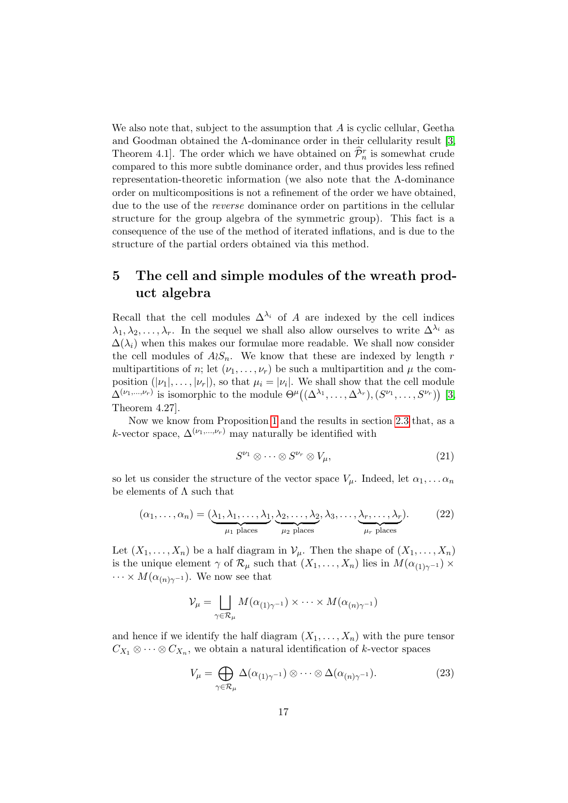We also note that, subject to the assumption that  $A$  is cyclic cellular, Geetha and Goodman obtained the  $\Lambda$ -dominance order in their cellularity result [3, Theorem 4.1. The order which we have obtained on  $\hat{\mathcal{P}}_n^r$  is somewhat crude compared to this more subtle dominance order, and thus provides less refined representation-theoretic information (we also note that the Λ-dominance order on multicompositions is not a refinement of the order we have obtained, due to the use of the reverse dominance order on partitions in the cellular structure for the group algebra of the symmetric group). This fact is a consequence of the use of the method of iterated inflations, and is due to the structure of the partial orders obtained via this method.

## 5 The cell and simple modules of the wreath product algebra

Recall that the cell modules  $\Delta^{\lambda_i}$  of A are indexed by the cell indices  $\lambda_1, \lambda_2, \ldots, \lambda_r$ . In the sequel we shall also allow ourselves to write  $\Delta^{\lambda_i}$  as  $\Delta(\lambda_i)$  when this makes our formulae more readable. We shall now consider the cell modules of  $A\wr S_n$ . We know that these are indexed by length r multipartitions of n; let  $(\nu_1, \ldots, \nu_r)$  be such a multipartition and  $\mu$  the composition  $(|\nu_1|, \ldots, |\nu_r|)$ , so that  $\mu_i = |\nu_i|$ . We shall show that the cell module  $\Delta^{(\nu_1,...,\nu_r)}$  is isomorphic to the module  $\Theta^{\mu}((\Delta^{\lambda_1},\ldots,\Delta^{\lambda_r}), (S^{\nu_1},\ldots,S^{\nu_r}))$  [3, Theorem 4.27].

Now we know from Proposition 1 and the results in section 2.3 that, as a k-vector space,  $\Delta^{(\nu_1,...,\nu_r)}$  may naturally be identified with

$$
S^{\nu_1} \otimes \cdots \otimes S^{\nu_r} \otimes V_{\mu}, \qquad (21)
$$

so let us consider the structure of the vector space  $V_\mu$ . Indeed, let  $\alpha_1, \ldots, \alpha_n$ be elements of  $\Lambda$  such that

$$
(\alpha_1, \ldots, \alpha_n) = (\underbrace{\lambda_1, \lambda_1, \ldots, \lambda_1}_{\mu_1 \text{ places}}, \underbrace{\lambda_2, \ldots, \lambda_2}_{\mu_2 \text{ places}}, \lambda_3, \ldots, \underbrace{\lambda_r, \ldots, \lambda_r}_{\mu_r \text{ places}}). \tag{22}
$$

Let  $(X_1, \ldots, X_n)$  be a half diagram in  $\mathcal{V}_{\mu}$ . Then the shape of  $(X_1, \ldots, X_n)$ is the unique element  $\gamma$  of  $\mathcal{R}_{\mu}$  such that  $(X_1, \ldots, X_n)$  lies in  $M(\alpha_{(1)\gamma^{-1}}) \times$  $\cdots \times M(\alpha_{n})_{\gamma^{-1}}$ . We now see that

$$
\mathcal{V}_{\mu} = \bigsqcup_{\gamma \in \mathcal{R}_{\mu}} M(\alpha_{(1)\gamma^{-1}}) \times \cdots \times M(\alpha_{(n)\gamma^{-1}})
$$

and hence if we identify the half diagram  $(X_1, \ldots, X_n)$  with the pure tensor  $C_{X_1} \otimes \cdots \otimes C_{X_n}$ , we obtain a natural identification of k-vector spaces

$$
V_{\mu} = \bigoplus_{\gamma \in \mathcal{R}_{\mu}} \Delta(\alpha_{(1)\gamma^{-1}}) \otimes \cdots \otimes \Delta(\alpha_{(n)\gamma^{-1}}). \tag{23}
$$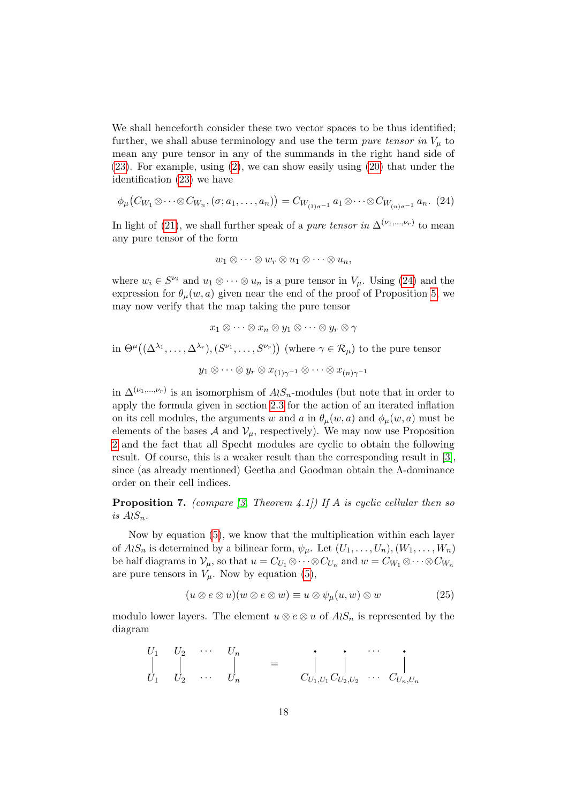We shall henceforth consider these two vector spaces to be thus identified; further, we shall abuse terminology and use the term pure tensor in  $V_{\mu}$  to mean any pure tensor in any of the summands in the right hand side of (23). For example, using (2), we can show easily using (20) that under the identification (23) we have

$$
\phi_{\mu}(C_{W_1} \otimes \cdots \otimes C_{W_n}, (\sigma; a_1, \ldots, a_n)) = C_{W_{(1)\sigma^{-1}}} a_1 \otimes \cdots \otimes C_{W_{(n)\sigma^{-1}}} a_n. (24)
$$

In light of (21), we shall further speak of a *pure tensor in*  $\Delta^{(\nu_1,...,\nu_r)}$  to mean any pure tensor of the form

$$
w_1\otimes\cdots\otimes w_r\otimes u_1\otimes\cdots\otimes u_n,
$$

where  $w_i \in S^{\nu_i}$  and  $u_1 \otimes \cdots \otimes u_n$  is a pure tensor in  $V_\mu$ . Using (24) and the expression for  $\theta_u(w, a)$  given near the end of the proof of Proposition 5, we may now verify that the map taking the pure tensor

$$
x_1 \otimes \cdots \otimes x_n \otimes y_1 \otimes \cdots \otimes y_r \otimes \gamma
$$
  
in  $\Theta^{\mu}((\Delta^{\lambda_1}, \ldots, \Delta^{\lambda_r}), (S^{\nu_1}, \ldots, S^{\nu_r}))$  (where  $\gamma \in \mathcal{R}_{\mu}$ ) to the pure tensor  

$$
y_1 \otimes \cdots \otimes y_r \otimes x_{(1)\gamma^{-1}} \otimes \cdots \otimes x_{(n)\gamma^{-1}}
$$

in  $\Delta^{(\nu_1,...,\nu_r)}$  is an isomorphism of  $A\wr S_n$ -modules (but note that in order to apply the formula given in section 2.3 for the action of an iterated inflation on its cell modules, the arguments w and a in  $\theta_\mu(w, a)$  and  $\phi_\mu(w, a)$  must be elements of the bases  $\mathcal A$  and  $\mathcal V_\mu$ , respectively). We may now use Proposition 2 and the fact that all Specht modules are cyclic to obtain the following result. Of course, this is a weaker result than the corresponding result in [3], since (as already mentioned) Geetha and Goodman obtain the Λ-dominance order on their cell indices.

**Proposition 7.** (compare [3, Theorem 4.1]) If A is cyclic cellular then so is  $A \wr S_n$ .

Now by equation (5), we know that the multiplication within each layer of  $A\wr S_n$  is determined by a bilinear form,  $\psi_\mu$ . Let  $(U_1,\ldots,U_n), (W_1,\ldots,W_n)$ be half diagrams in  $\mathcal{V}_{\mu}$ , so that  $u = C_{U_1} \otimes \cdots \otimes C_{U_n}$  and  $w = C_{W_1} \otimes \cdots \otimes C_{W_n}$ are pure tensors in  $V_\mu$ . Now by equation (5),

$$
(u \otimes e \otimes u)(w \otimes e \otimes w) \equiv u \otimes \psi_{\mu}(u, w) \otimes w \tag{25}
$$

modulo lower layers. The element  $u \otimes e \otimes u$  of  $A \otimes_{n} B_{n}$  is represented by the diagram

$$
\begin{array}{ccccccccc}\nU_1 & U_2 & \cdots & U_n \\
\downarrow & \downarrow & & \downarrow & & \vdots \\
U_1 & U_2 & \cdots & U_n & & & C_{U_1,U_1}C_{U_2,U_2} & \cdots & C_{U_n,U_n}\n\end{array}
$$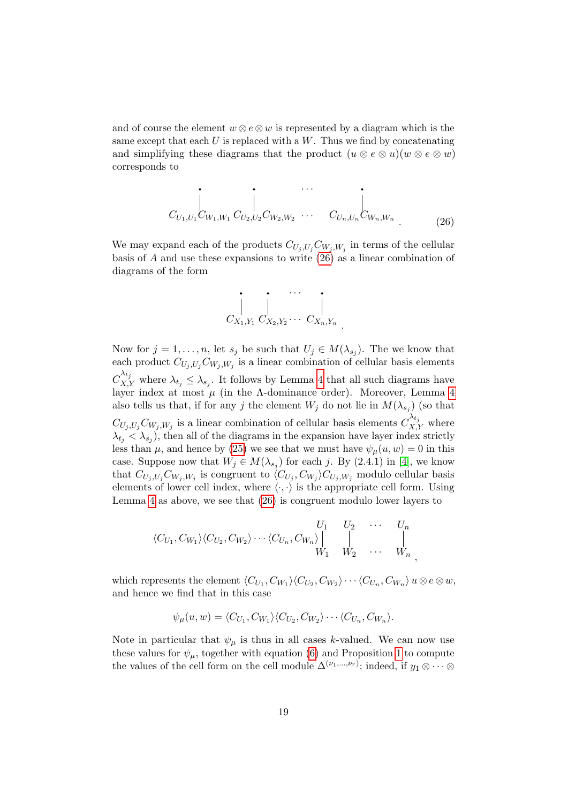and of course the element  $w \otimes e \otimes w$  is represented by a diagram which is the same except that each  $U$  is replaced with a  $W$ . Thus we find by concatenating and simplifying these diagrams that the product  $(u \otimes e \otimes u)(w \otimes e \otimes w)$ corresponds to

$$
\left.\sum_{U_{1},U_{1} \subset W_{1},W_{1}}\left.\prod_{U_{2},U_{2} \subset W_{2},W_{2}}\cdots\right.\left.\prod_{U_{n},U_{n} \subset W_{n},W_{n}}\right.\right\vert_{(26)}
$$

We may expand each of the products  $C_{U_j, U_j} C_{W_j, W_j}$  in terms of the cellular basis of  $A$  and use these expansions to write  $(26)$  as a linear combination of diagrams of the form



Now for  $j = 1, ..., n$ , let  $s_j$  be such that  $U_j \in M(\lambda_{s_j})$ . The we know that each product  $C_{U_j, U_j} C_{W_j, W_j}$  is a linear combination of cellular basis elements  $C_{X,Y}^{\lambda_{t_j}}$  where  $\lambda_{t_j} \leq \lambda_{s_j}$ . It follows by Lemma 4 that all such diagrams have layer index at most  $\mu$  (in the  $\Lambda$ -dominance order). Moreover, Lemma 4 also tells us that, if for any j the element  $W_j$  do not lie in  $M(\lambda_{s_j})$  (so that  $C_{U_j, U_j} C_{W_j, W_j}$  is a linear combination of cellular basis elements  $C_{X,Y}^{\lambda_{t_j}}$  where  $\lambda_{t_j} < \lambda_{s_j}$ , then all of the diagrams in the expansion have layer index strictly less than  $\mu$ , and hence by (25) we see that we must have  $\psi_{\mu}(u, w) = 0$  in this case. Suppose now that  $W_j \in M(\lambda_{s_j})$  for each j. By (2.4.1) in [4], we know that  $C_{U_j, U_j} C_{W_j, W_j}$  is congruent to  $\langle C_{U_j}, C_{W_j} \rangle C_{U_j, W_j}$  modulo cellular basis elements of lower cell index, where  $\langle \cdot, \cdot \rangle$  is the appropriate cell form. Using Lemma 4 as above, we see that (26) is congruent modulo lower layers to

$$
\langle C_{U_1}, C_{W_1} \rangle \langle C_{U_2}, C_{W_2} \rangle \cdots \langle C_{U_n}, C_{W_n} \rangle \begin{vmatrix} U_1 & U_2 & \cdots & U_n \\ \vdots & \vdots & \ddots & \vdots \\ W_1 & W_2 & \cdots & W_n \end{vmatrix},
$$

which represents the element  $\langle C_{U_1}, C_{W_1} \rangle \langle C_{U_2}, C_{W_2} \rangle \cdots \langle C_{U_n}, C_{W_n} \rangle$   $u \otimes e \otimes w$ , and hence we find that in this case

$$
\psi_{\mu}(u, w) = \langle C_{U_1}, C_{W_1} \rangle \langle C_{U_2}, C_{W_2} \rangle \cdots \langle C_{U_n}, C_{W_n} \rangle.
$$

Note in particular that  $\psi_{\mu}$  is thus in all cases k-valued. We can now use these values for  $\psi_{\mu}$ , together with equation (6) and Proposition 1 to compute the values of the cell form on the cell module  $\Delta^{(\nu_1,...,\nu_r)}$ ; indeed, if  $y_1 \otimes \cdots \otimes$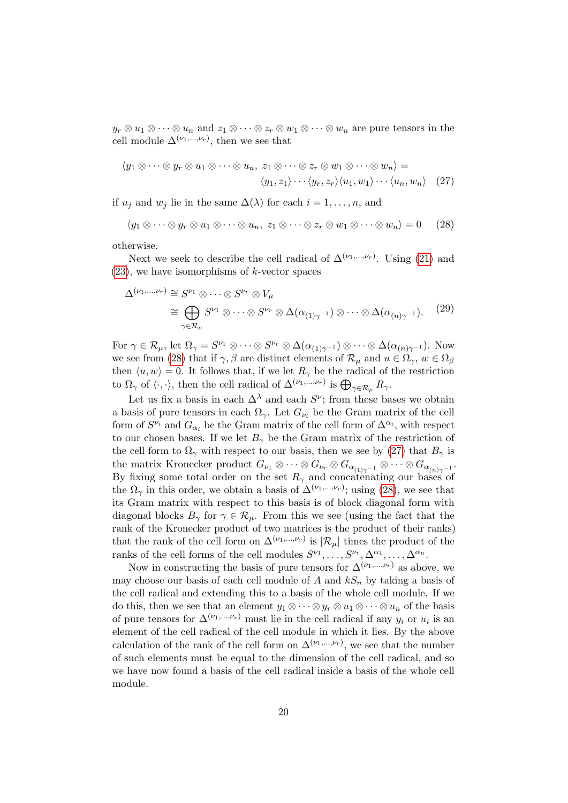$y_r \otimes u_1 \otimes \cdots \otimes u_n$  and  $z_1 \otimes \cdots \otimes z_r \otimes u_1 \otimes \cdots \otimes u_n$  are pure tensors in the cell module  $\Delta^{(\nu_1,...,\nu_r)}$ , then we see that

$$
\langle y_1 \otimes \cdots \otimes y_r \otimes u_1 \otimes \cdots \otimes u_n, z_1 \otimes \cdots \otimes z_r \otimes w_1 \otimes \cdots \otimes w_n \rangle =
$$
  

$$
\langle y_1, z_1 \rangle \cdots \langle y_r, z_r \rangle \langle u_1, w_1 \rangle \cdots \langle u_n, w_n \rangle
$$
 (27)

if  $u_j$  and  $w_j$  lie in the same  $\Delta(\lambda)$  for each  $i = 1, \ldots, n$ , and

$$
\langle y_1 \otimes \cdots \otimes y_r \otimes u_1 \otimes \cdots \otimes u_n, z_1 \otimes \cdots \otimes z_r \otimes w_1 \otimes \cdots \otimes w_n \rangle = 0 \qquad (28)
$$

otherwise.

Next we seek to describe the cell radical of  $\Delta^{(\nu_1,...,\nu_r)}$ . Using (21) and  $(23)$ , we have isomorphisms of k-vector spaces

$$
\Delta^{(\nu_1,\dots,\nu_r)} \cong S^{\nu_1} \otimes \dots \otimes S^{\nu_r} \otimes V_{\mu}
$$
  
\n
$$
\cong \bigoplus_{\gamma \in \mathcal{R}_{\mu}} S^{\nu_1} \otimes \dots \otimes S^{\nu_r} \otimes \Delta(\alpha_{(1)\gamma^{-1}}) \otimes \dots \otimes \Delta(\alpha_{(n)\gamma^{-1}}). \tag{29}
$$

For  $\gamma \in \mathcal{R}_{\mu}$ , let  $\Omega_{\gamma} = S^{\nu_1} \otimes \cdots \otimes S^{\nu_r} \otimes \Delta(\alpha_{(1)\gamma^{-1}}) \otimes \cdots \otimes \Delta(\alpha_{(n)\gamma^{-1}})$ . Now we see from (28) that if  $\gamma$ ,  $\beta$  are distinct elements of  $\mathcal{R}_{\mu}$  and  $u \in \Omega_{\gamma}$ ,  $w \in \Omega_{\beta}$ then  $\langle u, w \rangle = 0$ . It follows that, if we let  $R_{\gamma}$  be the radical of the restriction to  $\Omega_{\gamma}$  of  $\langle \cdot, \cdot \rangle$ , then the cell radical of  $\Delta^{(\nu_1,\dots,\nu_r)}$  is  $\bigoplus_{\gamma \in \mathcal{R}_{\mu}} R_{\gamma}$ .

Let us fix a basis in each  $\Delta^{\lambda}$  and each  $S^{\nu}$ ; from these bases we obtain a basis of pure tensors in each  $\Omega_{\gamma}$ . Let  $G_{\nu_i}$  be the Gram matrix of the cell form of  $S^{\nu_i}$  and  $G_{\alpha_i}$  be the Gram matrix of the cell form of  $\Delta^{\alpha_i}$ , with respect to our chosen bases. If we let  $B_{\gamma}$  be the Gram matrix of the restriction of the cell form to  $\Omega_{\gamma}$  with respect to our basis, then we see by (27) that  $B_{\gamma}$  is the matrix Kronecker product  $G_{\nu_1}\otimes \cdots \otimes G_{\nu_r}\otimes G_{\alpha_{(1)\gamma^{-1}}}\otimes \cdots \otimes G_{\alpha_{(n)\gamma^{-1}}}.$ By fixing some total order on the set  $R_{\gamma}$  and concatenating our bases of the  $\Omega_{\gamma}$  in this order, we obtain a basis of  $\Delta^{(\nu_1,...,\nu_r)}$ ; using (28), we see that its Gram matrix with respect to this basis is of block diagonal form with diagonal blocks  $B_{\gamma}$  for  $\gamma \in \mathcal{R}_{\mu}$ . From this we see (using the fact that the rank of the Kronecker product of two matrices is the product of their ranks) that the rank of the cell form on  $\Delta^{(\nu_1,...,\nu_r)}$  is  $|\mathcal{R}_\mu|$  times the product of the ranks of the cell forms of the cell modules  $S^{\nu_1}, \ldots, S^{\nu_r}, \Delta^{\alpha_1}, \ldots, \Delta^{\alpha_n}$ .

Now in constructing the basis of pure tensors for  $\Delta^{(\nu_1,...,\nu_r)}$  as above, we may choose our basis of each cell module of A and  $kS_n$  by taking a basis of the cell radical and extending this to a basis of the whole cell module. If we do this, then we see that an element  $y_1 \otimes \cdots \otimes y_r \otimes u_1 \otimes \cdots \otimes u_n$  of the basis of pure tensors for  $\Delta^{(\nu_1,\dots,\nu_r)}$  must lie in the cell radical if any  $y_i$  or  $u_i$  is an element of the cell radical of the cell module in which it lies. By the above calculation of the rank of the cell form on  $\Delta^{(\nu_1,...,\nu_r)}$ , we see that the number of such elements must be equal to the dimension of the cell radical, and so we have now found a basis of the cell radical inside a basis of the whole cell module.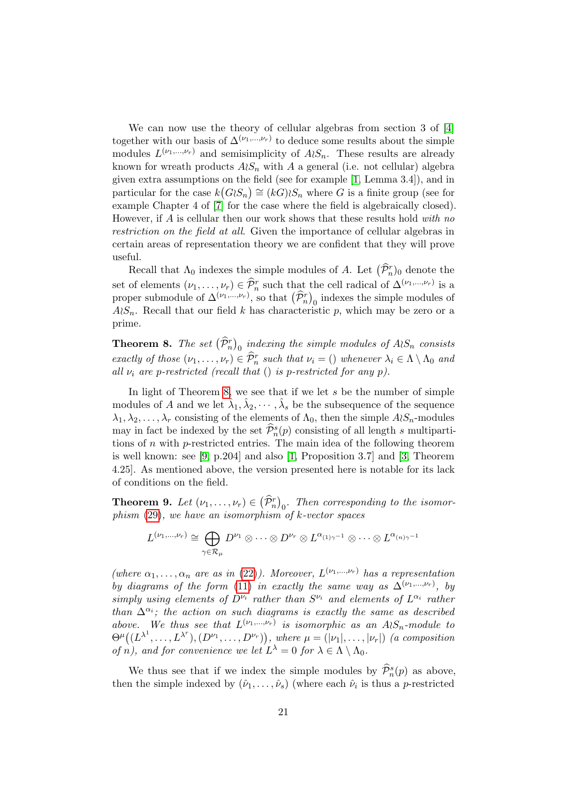We can now use the theory of cellular algebras from section 3 of [4] together with our basis of  $\Delta^{(\nu_1,...,\nu_r)}$  to deduce some results about the simple modules  $L^{(\nu_1,\dots,\nu_r)}$  and semisimplicity of  $A\wr S_n$ . These results are already known for wreath products  $A\wr S_n$  with A a general (i.e. not cellular) algebra given extra assumptions on the field (see for example [1, Lemma 3.4]), and in particular for the case  $k(G \otimes n) \cong (kG) \otimes n$  where G is a finite group (see for example Chapter 4 of [7] for the case where the field is algebraically closed). However, if A is cellular then our work shows that these results hold with no restriction on the field at all. Given the importance of cellular algebras in certain areas of representation theory we are confident that they will prove useful.

Recall that  $\Lambda_0$  indexes the simple modules of A. Let  $(\widehat{\mathcal{P}}_n^r)_0$  denote the set of elements  $(\nu_1, \ldots, \nu_r) \in \hat{\mathcal{P}}_n^r$  such that the cell radical of  $\Delta^{(\nu_1, \ldots, \nu_r)}$  is a proper submodule of  $\Delta^{(\nu_1,\dots,\nu_r)}$ , so that  $(\hat{\mathcal{P}}_n^r)_0$  indexes the simple modules of  $A\mathcal{S}_n$ . Recall that our field k has characteristic p, which may be zero or a prime.

**Theorem 8.** The set  $(\widehat{\mathcal{P}}_n^r)_0$  indexing the simple modules of  $A \wr S_n$  consists exactly of those  $(\nu_1, \ldots, \nu_r) \in \hat{\mathcal{P}}_n^r$  such that  $\nu_i = ()$  whenever  $\lambda_i \in \Lambda \setminus \Lambda_0$  and all  $\nu_i$  are p-restricted (recall that () is p-restricted for any p).

In light of Theorem 8, we see that if we let s be the number of simple modules of A and we let  $\hat{\lambda}_1, \hat{\lambda}_2, \cdots, \hat{\lambda}_s$  be the subsequence of the sequence  $\lambda_1, \lambda_2, \ldots, \lambda_r$  consisting of the elements of  $\Lambda_0$ , then the simple  $A \wr S_n$ -modules may in fact be indexed by the set  $\widehat{\mathcal{P}}_n^s(p)$  consisting of all length s multipartitions of  $n$  with  $p$ -restricted entries. The main idea of the following theorem is well known: see [9, p.204] and also [1, Proposition 3.7] and [3, Theorem 4.25]. As mentioned above, the version presented here is notable for its lack of conditions on the field.

**Theorem 9.** Let  $(\nu_1, \ldots, \nu_r) \in (\hat{\mathcal{P}}_n^r)_0$ . Then corresponding to the isomorphism  $(29)$ , we have an isomorphism of k-vector spaces

$$
L^{(\nu_1,\dots,\nu_r)} \cong \bigoplus_{\gamma \in \mathcal{R}_{\mu}} D^{\nu_1} \otimes \cdots \otimes D^{\nu_r} \otimes L^{\alpha_{(1)\gamma-1}} \otimes \cdots \otimes L^{\alpha_{(n)\gamma-1}}
$$

(where  $\alpha_1, \ldots, \alpha_n$  are as in (22)). Moreover,  $L^{(\nu_1, \ldots, \nu_r)}$  has a representation by diagrams of the form (11) in exactly the same way as  $\Delta^{(\nu_1,...,\nu_r)}$ , by simply using elements of  $D^{\nu_i}$  rather than  $S^{\nu_i}$  and elements of  $L^{\alpha_i}$  rather than  $\Delta^{\alpha_i}$ ; the action on such diagrams is exactly the same as described above. We thus see that  $L^{(\nu_1,\dots,\nu_r)}$  is isomorphic as an  $A\wr S_n$ -module to  $\Theta^{\mu}((L^{\lambda^1},\ldots,L^{\lambda^r}), (D^{\nu_1},\ldots,D^{\nu_r}))$ , where  $\mu=(|\nu_1|,\ldots,|\nu_r|)$  (a composition of n), and for convenience we let  $L^{\lambda} = 0$  for  $\lambda \in \Lambda \setminus \Lambda_0$ .

We thus see that if we index the simple modules by  $\widehat{\mathcal{P}}_n^s(p)$  as above, then the simple indexed by  $(\hat{\nu}_1, \ldots, \hat{\nu}_s)$  (where each  $\hat{\nu}_i$  is thus a *p*-restricted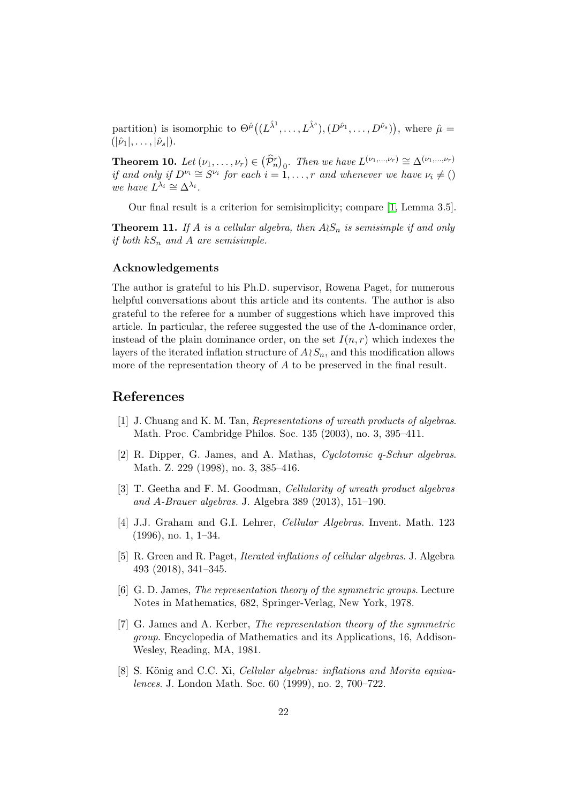partition) is isomorphic to  $\Theta^{\hat{\mu}}((L^{\hat{\lambda}^1},..., L^{\hat{\lambda}^s}), (D^{\hat{\nu}_1},..., D^{\hat{\nu}_s}))$ , where  $\hat{\mu} =$  $(|\hat{\nu}_1|, \ldots, |\hat{\nu}_s|).$ 

**Theorem 10.** Let  $(\nu_1, \ldots, \nu_r) \in (\hat{\mathcal{P}}_n^r)_0$ . Then we have  $L^{(\nu_1, \ldots, \nu_r)} \cong \Delta^{(\nu_1, \ldots, \nu_r)}$ if and only if  $D^{\nu_i} \cong S^{\nu_i}$  for each  $i = 1, \ldots, r$  and whenever we have  $\nu_i \neq ()$ we have  $\tilde{L}^{\lambda_i} \cong \Delta^{\lambda_i}$ .

Our final result is a criterion for semisimplicity; compare [1, Lemma 3.5].

**Theorem 11.** If A is a cellular algebra, then  $A\wr S_n$  is semisimple if and only if both  $kS_n$  and A are semisimple.

#### Acknowledgements

The author is grateful to his Ph.D. supervisor, Rowena Paget, for numerous helpful conversations about this article and its contents. The author is also grateful to the referee for a number of suggestions which have improved this article. In particular, the referee suggested the use of the  $\Lambda$ -dominance order, instead of the plain dominance order, on the set  $I(n,r)$  which indexes the layers of the iterated inflation structure of  $A\wr S_n$ , and this modification allows more of the representation theory of A to be preserved in the final result.

#### References

- [1] J. Chuang and K. M. Tan, Representations of wreath products of algebras. Math. Proc. Cambridge Philos. Soc. 135 (2003), no. 3, 395–411.
- [2] R. Dipper, G. James, and A. Mathas, Cyclotomic q-Schur algebras. Math. Z. 229 (1998), no. 3, 385–416.
- [3] T. Geetha and F. M. Goodman, Cellularity of wreath product algebras and A-Brauer algebras. J. Algebra 389 (2013), 151–190.
- [4] J.J. Graham and G.I. Lehrer, Cellular Algebras. Invent. Math. 123 (1996), no. 1, 1–34.
- [5] R. Green and R. Paget, Iterated inflations of cellular algebras. J. Algebra 493 (2018), 341–345.
- [6] G. D. James, The representation theory of the symmetric groups. Lecture Notes in Mathematics, 682, Springer-Verlag, New York, 1978.
- [7] G. James and A. Kerber, The representation theory of the symmetric group. Encyclopedia of Mathematics and its Applications, 16, Addison-Wesley, Reading, MA, 1981.
- [8] S. König and C.C. Xi, Cellular algebras: inflations and Morita equivalences. J. London Math. Soc. 60 (1999), no. 2, 700–722.